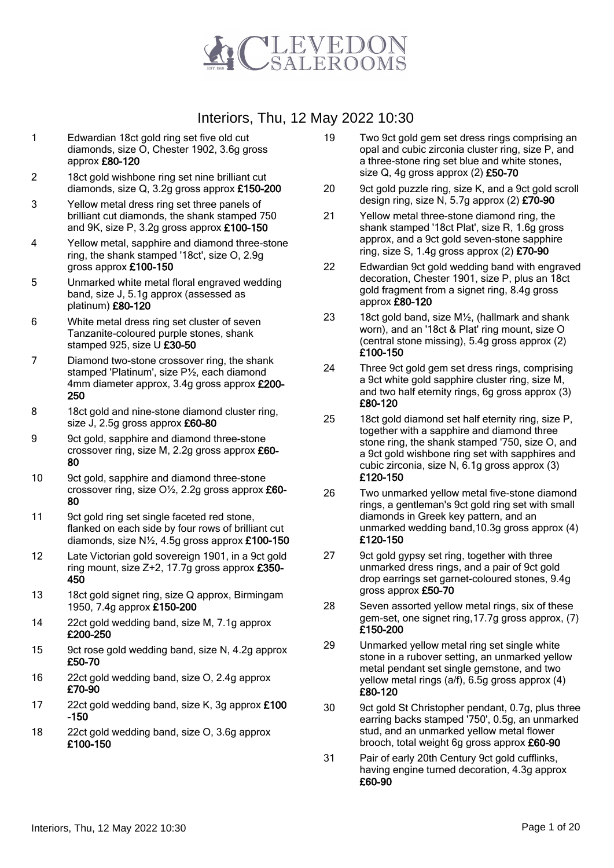

- 1 Edwardian 18ct gold ring set five old cut diamonds, size O, Chester 1902, 3.6g gross approx £80-120
- 2 18ct gold wishbone ring set nine brilliant cut diamonds, size Q, 3.2g gross approx £150-200
- 3 Yellow metal dress ring set three panels of brilliant cut diamonds, the shank stamped 750 and 9K, size P, 3.2g gross approx £100-150
- 4 Yellow metal, sapphire and diamond three-stone ring, the shank stamped '18ct', size O, 2.9g gross approx £100-150
- 5 Unmarked white metal floral engraved wedding band, size J, 5.1g approx (assessed as platinum) £80-120
- 6 White metal dress ring set cluster of seven Tanzanite-coloured purple stones, shank stamped 925, size U £30-50
- 7 Diamond two-stone crossover ring, the shank stamped 'Platinum', size P½, each diamond 4mm diameter approx, 3.4g gross approx £200- 250
- 8 18ct gold and nine-stone diamond cluster ring, size J, 2.5g gross approx £60-80
- 9 9ct gold, sapphire and diamond three-stone crossover ring, size M, 2.2g gross approx £60- 80
- 10 9ct gold, sapphire and diamond three-stone crossover ring, size O½, 2.2g gross approx £60- 80
- 11 9ct gold ring set single faceted red stone, flanked on each side by four rows of brilliant cut diamonds, size N½, 4.5g gross approx £100-150
- 12 Late Victorian gold sovereign 1901, in a 9ct gold ring mount, size Z+2, 17.7g gross approx £350- 450
- 13 18ct gold signet ring, size Q approx, Birmingam 1950, 7.4g approx £150-200
- 14 22ct gold wedding band, size M, 7.1g approx £200-250
- 15 9ct rose gold wedding band, size N, 4.2g approx £50-70
- 16 22ct gold wedding band, size O, 2.4g approx £70-90
- 17 22ct gold wedding band, size K, 3g approx £100 -150
- 18 22ct gold wedding band, size O, 3.6g approx £100-150
- 19 Two 9ct gold gem set dress rings comprising an opal and cubic zirconia cluster ring, size P, and a three-stone ring set blue and white stones, size  $Q$ , 4g gross approx  $(2)$  £50-70
- 20 9ct gold puzzle ring, size K, and a 9ct gold scroll design ring, size N, 5.7g approx (2) £70-90
- 21 Yellow metal three-stone diamond ring, the shank stamped '18ct Plat', size R, 1.6g gross approx, and a 9ct gold seven-stone sapphire ring, size S, 1.4g gross approx  $(2)$  £70-90
- 22 Edwardian 9ct gold wedding band with engraved decoration, Chester 1901, size P, plus an 18ct gold fragment from a signet ring, 8.4g gross approx £80-120
- 23 18ct gold band, size M½, (hallmark and shank worn), and an '18ct & Plat' ring mount, size O (central stone missing), 5.4g gross approx (2) £100-150
- 24 Three 9ct gold gem set dress rings, comprising a 9ct white gold sapphire cluster ring, size M, and two half eternity rings, 6g gross approx (3) £80-120
- 25 18ct gold diamond set half eternity ring, size P, together with a sapphire and diamond three stone ring, the shank stamped '750, size O, and a 9ct gold wishbone ring set with sapphires and cubic zirconia, size N, 6.1g gross approx (3) £120-150
- 26 Two unmarked yellow metal five-stone diamond rings, a gentleman's 9ct gold ring set with small diamonds in Greek key pattern, and an unmarked wedding band,10.3g gross approx (4) £120-150
- 27 9ct gold gypsy set ring, together with three unmarked dress rings, and a pair of 9ct gold drop earrings set garnet-coloured stones, 9.4g gross approx £50-70
- 28 Seven assorted yellow metal rings, six of these gem-set, one signet ring,17.7g gross approx, (7) £150-200
- 29 Unmarked yellow metal ring set single white stone in a rubover setting, an unmarked yellow metal pendant set single gemstone, and two yellow metal rings (a/f), 6.5g gross approx (4) £80-120
- 30 9ct gold St Christopher pendant, 0.7g, plus three earring backs stamped '750', 0.5g, an unmarked stud, and an unmarked yellow metal flower brooch, total weight 6g gross approx £60-90
- 31 Pair of early 20th Century 9ct gold cufflinks, having engine turned decoration, 4.3g approx £60-90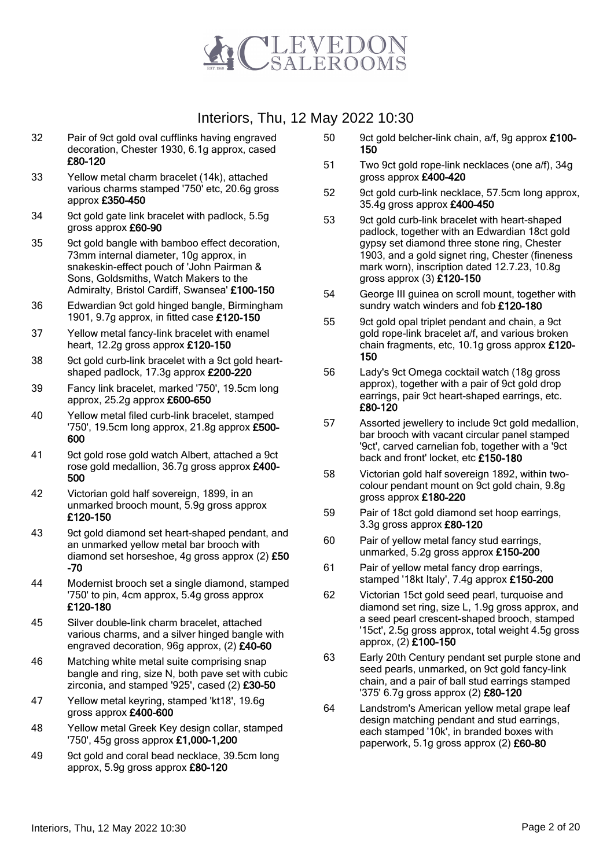

- 32 Pair of 9ct gold oval cufflinks having engraved decoration, Chester 1930, 6.1g approx, cased £80-120
- 33 Yellow metal charm bracelet (14k), attached various charms stamped '750' etc, 20.6g gross approx £350-450
- 34 9ct gold gate link bracelet with padlock, 5.5g gross approx £60-90
- 35 9ct gold bangle with bamboo effect decoration, 73mm internal diameter, 10g approx, in snakeskin-effect pouch of 'John Pairman & Sons, Goldsmiths, Watch Makers to the Admiralty, Bristol Cardiff, Swansea' £100-150
- 36 Edwardian 9ct gold hinged bangle, Birmingham 1901, 9.7g approx, in fitted case £120-150
- 37 Yellow metal fancy-link bracelet with enamel heart, 12.2g gross approx £120-150
- 38 9ct gold curb-link bracelet with a 9ct gold heartshaped padlock, 17.3g approx £200-220
- 39 Fancy link bracelet, marked '750', 19.5cm long approx, 25.2g approx £600-650
- 40 Yellow metal filed curb-link bracelet, stamped '750', 19.5cm long approx, 21.8g approx £500- 600
- 41 9ct gold rose gold watch Albert, attached a 9ct rose gold medallion, 36.7g gross approx £400- 500
- 42 Victorian gold half sovereign, 1899, in an unmarked brooch mount, 5.9g gross approx £120-150
- 43 9ct gold diamond set heart-shaped pendant, and an unmarked yellow metal bar brooch with diamond set horseshoe, 4g gross approx (2) £50 -70
- 44 Modernist brooch set a single diamond, stamped '750' to pin, 4cm approx, 5.4g gross approx £120-180
- 45 Silver double-link charm bracelet, attached various charms, and a silver hinged bangle with engraved decoration, 96g approx, (2) £40-60
- 46 Matching white metal suite comprising snap bangle and ring, size N, both pave set with cubic zirconia, and stamped '925', cased (2) £30-50
- 47 Yellow metal keyring, stamped 'kt18', 19.6g gross approx £400-600
- 48 Yellow metal Greek Key design collar, stamped '750', 45g gross approx £1,000-1,200
- 49 9ct gold and coral bead necklace, 39.5cm long approx, 5.9g gross approx £80-120
- 50 9ct gold belcher-link chain, a/f, 9g approx £100-150
- 51 Two 9ct gold rope-link necklaces (one a/f), 34g gross approx £400-420
- 52 9ct gold curb-link necklace, 57.5cm long approx, 35.4g gross approx £400-450
- 53 9ct gold curb-link bracelet with heart-shaped padlock, together with an Edwardian 18ct gold gypsy set diamond three stone ring, Chester 1903, and a gold signet ring, Chester (fineness mark worn), inscription dated 12.7.23, 10.8g gross approx (3) £120-150
- 54 George III guinea on scroll mount, together with sundry watch winders and fob £120-180
- 55 9ct gold opal triplet pendant and chain, a 9ct gold rope-link bracelet a/f, and various broken chain fragments, etc, 10.1g gross approx £120- 150
- 56 Lady's 9ct Omega cocktail watch (18g gross approx), together with a pair of 9ct gold drop earrings, pair 9ct heart-shaped earrings, etc. £80-120
- 57 Assorted jewellery to include 9ct gold medallion, bar brooch with vacant circular panel stamped '9ct', carved carnelian fob, together with a '9ct back and front' locket, etc £150-180
- 58 Victorian gold half sovereign 1892, within twocolour pendant mount on 9ct gold chain, 9.8g gross approx £180-220
- 59 Pair of 18ct gold diamond set hoop earrings, 3.3g gross approx £80-120
- 60 Pair of yellow metal fancy stud earrings, unmarked, 5.2g gross approx £150-200
- 61 Pair of yellow metal fancy drop earrings, stamped '18kt Italy', 7.4g approx £150-200
- 62 Victorian 15ct gold seed pearl, turquoise and diamond set ring, size L, 1.9g gross approx, and a seed pearl crescent-shaped brooch, stamped '15ct', 2.5g gross approx, total weight 4.5g gross approx, (2) £100-150
- 63 Early 20th Century pendant set purple stone and seed pearls, unmarked, on 9ct gold fancy-link chain, and a pair of ball stud earrings stamped '375' 6.7g gross approx (2) £80-120
- 64 Landstrom's American yellow metal grape leaf design matching pendant and stud earrings, each stamped '10k', in branded boxes with paperwork, 5.1g gross approx (2) £60-80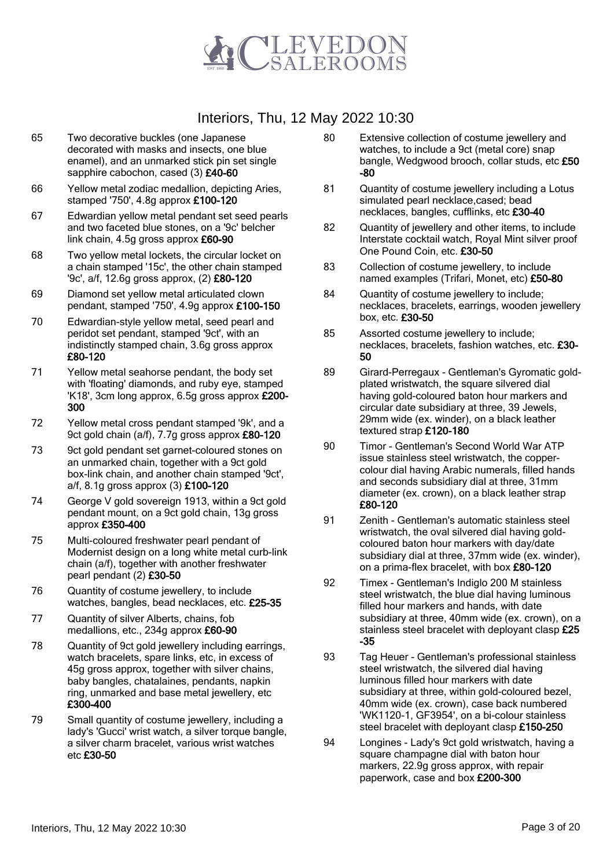

- 65 Two decorative buckles (one Japanese decorated with masks and insects, one blue enamel), and an unmarked stick pin set single sapphire cabochon, cased (3) £40-60
- 66 Yellow metal zodiac medallion, depicting Aries, stamped '750', 4.8g approx £100-120
- 67 Edwardian yellow metal pendant set seed pearls and two faceted blue stones, on a '9c' belcher link chain, 4.5g gross approx £60-90
- 68 Two yellow metal lockets, the circular locket on a chain stamped '15c', the other chain stamped '9c', a/f, 12.6g gross approx, (2) £80-120
- 69 Diamond set yellow metal articulated clown pendant, stamped '750', 4.9g approx £100-150
- 70 Edwardian-style yellow metal, seed pearl and peridot set pendant, stamped '9ct', with an indistinctly stamped chain, 3.6g gross approx £80-120
- 71 Yellow metal seahorse pendant, the body set with 'floating' diamonds, and ruby eye, stamped 'K18', 3cm long approx, 6.5g gross approx £200- 300
- 72 Yellow metal cross pendant stamped '9k', and a 9ct gold chain (a/f), 7.7g gross approx £80-120
- 73 9ct gold pendant set garnet-coloured stones on an unmarked chain, together with a 9ct gold box-link chain, and another chain stamped '9ct', a/f, 8.1g gross approx (3) £100-120
- 74 George V gold sovereign 1913, within a 9ct gold pendant mount, on a 9ct gold chain, 13g gross approx £350-400
- 75 Multi-coloured freshwater pearl pendant of Modernist design on a long white metal curb-link chain (a/f), together with another freshwater pearl pendant (2) £30-50
- 76 Quantity of costume jewellery, to include watches, bangles, bead necklaces, etc. £25-35
- 77 Quantity of silver Alberts, chains, fob medallions, etc., 234g approx £60-90
- 78 Quantity of 9ct gold jewellery including earrings, watch bracelets, spare links, etc, in excess of 45g gross approx, together with silver chains, baby bangles, chatalaines, pendants, napkin ring, unmarked and base metal jewellery, etc £300-400
- 79 Small quantity of costume jewellery, including a lady's 'Gucci' wrist watch, a silver torque bangle, a silver charm bracelet, various wrist watches etc £30-50
- 80 Extensive collection of costume jewellery and watches, to include a 9ct (metal core) snap bangle, Wedgwood brooch, collar studs, etc £50 -80
- 81 Quantity of costume jewellery including a Lotus simulated pearl necklace,cased; bead necklaces, bangles, cufflinks, etc £30-40
- 82 Quantity of jewellery and other items, to include Interstate cocktail watch, Royal Mint silver proof One Pound Coin, etc. £30-50
- 83 Collection of costume jewellery, to include named examples (Trifari, Monet, etc) £50-80
- 84 Quantity of costume jewellery to include; necklaces, bracelets, earrings, wooden jewellery box, etc. £30-50
- 85 Assorted costume jewellery to include; necklaces, bracelets, fashion watches, etc. £30- 50
- 89 Girard-Perregaux Gentleman's Gyromatic goldplated wristwatch, the square silvered dial having gold-coloured baton hour markers and circular date subsidiary at three, 39 Jewels, 29mm wide (ex. winder), on a black leather textured strap £120-180
- 90 Timor Gentleman's Second World War ATP issue stainless steel wristwatch, the coppercolour dial having Arabic numerals, filled hands and seconds subsidiary dial at three, 31mm diameter (ex. crown), on a black leather strap £80-120
- 91 Zenith Gentleman's automatic stainless steel wristwatch, the oval silvered dial having goldcoloured baton hour markers with day/date subsidiary dial at three, 37mm wide (ex. winder), on a prima-flex bracelet, with box £80-120
- 92 Timex Gentleman's Indiglo 200 M stainless steel wristwatch, the blue dial having luminous filled hour markers and hands, with date subsidiary at three, 40mm wide (ex. crown), on a stainless steel bracelet with deployant clasp £25 -35
- 93 Tag Heuer Gentleman's professional stainless steel wristwatch, the silvered dial having luminous filled hour markers with date subsidiary at three, within gold-coloured bezel, 40mm wide (ex. crown), case back numbered 'WK1120-1, GF3954', on a bi-colour stainless steel bracelet with deployant clasp £150-250
- 94 Longines Lady's 9ct gold wristwatch, having a square champagne dial with baton hour markers, 22.9g gross approx, with repair paperwork, case and box £200-300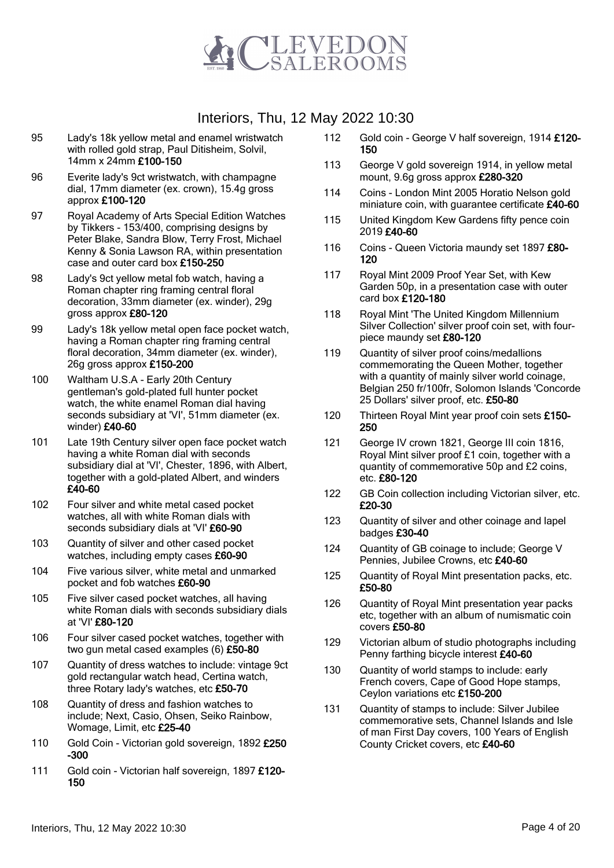

- 95 Lady's 18k yellow metal and enamel wristwatch with rolled gold strap, Paul Ditisheim, Solvil, 14mm x 24mm £100-150
- 96 Everite lady's 9ct wristwatch, with champagne dial, 17mm diameter (ex. crown), 15.4g gross approx £100-120
- 97 Royal Academy of Arts Special Edition Watches by Tikkers - 153/400, comprising designs by Peter Blake, Sandra Blow, Terry Frost, Michael Kenny & Sonia Lawson RA, within presentation case and outer card box £150-250
- 98 Lady's 9ct yellow metal fob watch, having a Roman chapter ring framing central floral decoration, 33mm diameter (ex. winder), 29g gross approx £80-120
- 99 Lady's 18k yellow metal open face pocket watch, having a Roman chapter ring framing central floral decoration, 34mm diameter (ex. winder), 26g gross approx £150-200
- 100 Waltham U.S.A Early 20th Century gentleman's gold-plated full hunter pocket watch, the white enamel Roman dial having seconds subsidiary at 'VI', 51mm diameter (ex. winder) £40-60
- 101 Late 19th Century silver open face pocket watch having a white Roman dial with seconds subsidiary dial at 'VI', Chester, 1896, with Albert, together with a gold-plated Albert, and winders £40-60
- 102 Four silver and white metal cased pocket watches, all with white Roman dials with seconds subsidiary dials at 'VI' £60-90
- 103 Quantity of silver and other cased pocket watches, including empty cases £60-90
- 104 Five various silver, white metal and unmarked pocket and fob watches £60-90
- 105 Five silver cased pocket watches, all having white Roman dials with seconds subsidiary dials at 'VI' £80-120
- 106 Four silver cased pocket watches, together with two gun metal cased examples (6) £50-80
- 107 Quantity of dress watches to include: vintage 9ct gold rectangular watch head, Certina watch, three Rotary lady's watches, etc £50-70
- 108 Quantity of dress and fashion watches to include; Next, Casio, Ohsen, Seiko Rainbow, Womage, Limit, etc £25-40
- 110 Gold Coin Victorian gold sovereign, 1892 £250 -300
- 111 Gold coin Victorian half sovereign, 1897 £120-150
- 112 Gold coin George V half sovereign, 1914 £120- 150
- 113 George V gold sovereign 1914, in yellow metal mount, 9.6g gross approx £280-320
- 114 Coins London Mint 2005 Horatio Nelson gold miniature coin, with guarantee certificate £40-60
- 115 United Kingdom Kew Gardens fifty pence coin 2019 £40-60
- 116 Coins Queen Victoria maundy set 1897 £80-120
- 117 Royal Mint 2009 Proof Year Set, with Kew Garden 50p, in a presentation case with outer card box £120-180
- 118 Royal Mint 'The United Kingdom Millennium Silver Collection' silver proof coin set, with fourpiece maundy set £80-120
- 119 Quantity of silver proof coins/medallions commemorating the Queen Mother, together with a quantity of mainly silver world coinage, Belgian 250 fr/100fr, Solomon Islands 'Concorde 25 Dollars' silver proof, etc. £50-80
- 120 Thirteen Royal Mint year proof coin sets £150-250
- 121 George IV crown 1821, George III coin 1816, Royal Mint silver proof £1 coin, together with a quantity of commemorative 50p and £2 coins, etc. £80-120
- 122 GB Coin collection including Victorian silver, etc. £20-30
- 123 Quantity of silver and other coinage and lapel badges £30-40
- 124 Cuantity of GB coinage to include: George V Pennies, Jubilee Crowns, etc £40-60
- 125 Quantity of Royal Mint presentation packs, etc. £50-80
- 126 Quantity of Royal Mint presentation year packs etc, together with an album of numismatic coin covers £50-80
- 129 Victorian album of studio photographs including Penny farthing bicycle interest £40-60
- 130 Quantity of world stamps to include: early French covers, Cape of Good Hope stamps, Ceylon variations etc £150-200
- 131 Quantity of stamps to include: Silver Jubilee commemorative sets, Channel Islands and Isle of man First Day covers, 100 Years of English County Cricket covers, etc £40-60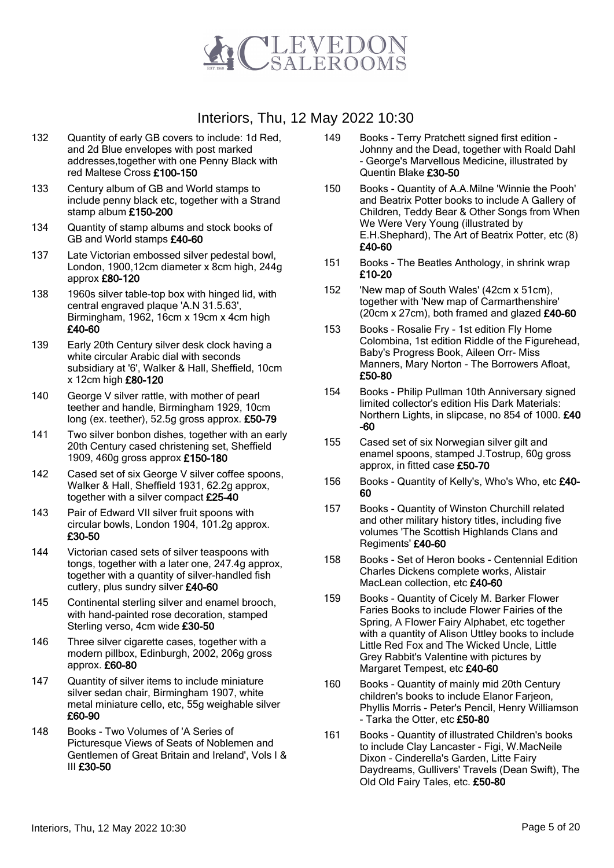

- 132 Quantity of early GB covers to include: 1d Red, and 2d Blue envelopes with post marked addresses,together with one Penny Black with red Maltese Cross £100-150
- 133 Century album of GB and World stamps to include penny black etc, together with a Strand stamp album £150-200
- 134 Quantity of stamp albums and stock books of GB and World stamps £40-60
- 137 Late Victorian embossed silver pedestal bowl, London, 1900,12cm diameter x 8cm high, 244g approx £80-120
- 138 1960s silver table-top box with hinged lid, with central engraved plaque 'A.N 31.5.63', Birmingham, 1962, 16cm x 19cm x 4cm high £40-60
- 139 Early 20th Century silver desk clock having a white circular Arabic dial with seconds subsidiary at '6', Walker & Hall, Sheffield, 10cm x 12cm high £80-120
- 140 George V silver rattle, with mother of pearl teether and handle, Birmingham 1929, 10cm long (ex. teether), 52.5g gross approx. £50-79
- 141 Two silver bonbon dishes, together with an early 20th Century cased christening set, Sheffield 1909, 460g gross approx £150-180
- 142 Cased set of six George V silver coffee spoons, Walker & Hall, Sheffield 1931, 62.2g approx, together with a silver compact £25-40
- 143 Pair of Edward VII silver fruit spoons with circular bowls, London 1904, 101.2g approx. £30-50
- 144 Victorian cased sets of silver teaspoons with tongs, together with a later one, 247.4g approx, together with a quantity of silver-handled fish cutlery, plus sundry silver £40-60
- 145 Continental sterling silver and enamel brooch, with hand-painted rose decoration, stamped Sterling verso, 4cm wide £30-50
- 146 Three silver cigarette cases, together with a modern pillbox, Edinburgh, 2002, 206g gross approx. £60-80
- 147 Quantity of silver items to include miniature silver sedan chair, Birmingham 1907, white metal miniature cello, etc, 55g weighable silver £60-90
- 148 Books Two Volumes of 'A Series of Picturesque Views of Seats of Noblemen and Gentlemen of Great Britain and Ireland', Vols I & III £30-50
- 149 Books Terry Pratchett signed first edition Johnny and the Dead, together with Roald Dahl - George's Marvellous Medicine, illustrated by Quentin Blake £30-50
- 150 Books Quantity of A.A.Milne 'Winnie the Pooh' and Beatrix Potter books to include A Gallery of Children, Teddy Bear & Other Songs from When We Were Very Young (illustrated by E.H.Shephard), The Art of Beatrix Potter, etc (8) £40-60
- 151 Books The Beatles Anthology, in shrink wrap £10-20
- 152 'New map of South Wales' (42cm x 51cm), together with 'New map of Carmarthenshire' (20cm x 27cm), both framed and glazed  $£40-60$
- 153 Books Rosalie Fry 1st edition Fly Home Colombina, 1st edition Riddle of the Figurehead, Baby's Progress Book, Aileen Orr- Miss Manners, Mary Norton - The Borrowers Afloat, £50-80
- 154 Books Philip Pullman 10th Anniversary signed limited collector's edition His Dark Materials: Northern Lights, in slipcase, no 854 of 1000. £40 -60
- 155 Cased set of six Norwegian silver gilt and enamel spoons, stamped J.Tostrup, 60g gross approx, in fitted case £50-70
- 156 Books Quantity of Kelly's, Who's Who, etc £40- 60
- 157 Books Quantity of Winston Churchill related and other military history titles, including five volumes 'The Scottish Highlands Clans and Regiments' £40-60
- 158 Books Set of Heron books Centennial Edition Charles Dickens complete works, Alistair MacLean collection, etc £40-60
- 159 Books Quantity of Cicely M. Barker Flower Faries Books to include Flower Fairies of the Spring, A Flower Fairy Alphabet, etc together with a quantity of Alison Uttley books to include Little Red Fox and The Wicked Uncle, Little Grey Rabbit's Valentine with pictures by Margaret Tempest, etc £40-60
- 160 Books Quantity of mainly mid 20th Century children's books to include Elanor Farjeon, Phyllis Morris - Peter's Pencil, Henry Williamson - Tarka the Otter, etc £50-80
- 161 Books Quantity of illustrated Children's books to include Clay Lancaster - Figi, W.MacNeile Dixon - Cinderella's Garden, Litte Fairy Daydreams, Gullivers' Travels (Dean Swift), The Old Old Fairy Tales, etc. £50-80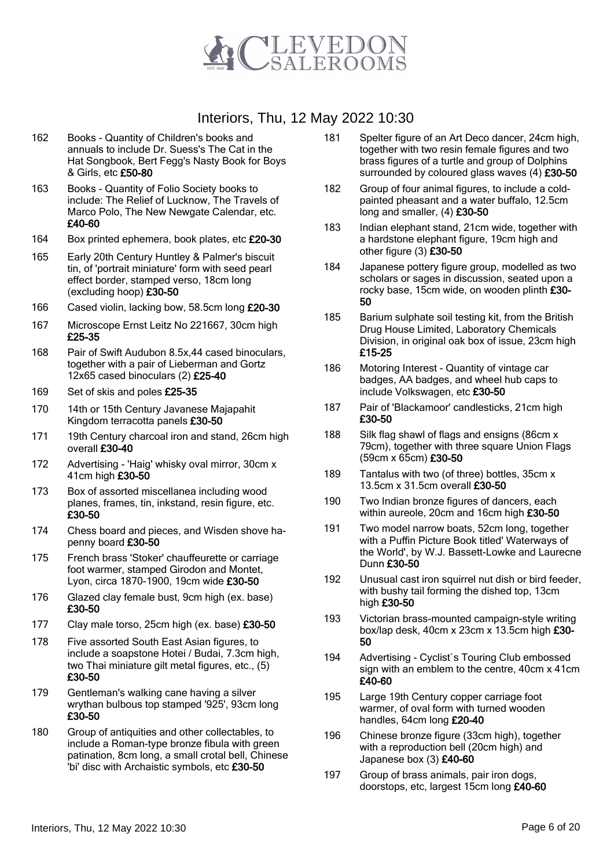

- 162 Books Quantity of Children's books and annuals to include Dr. Suess's The Cat in the Hat Songbook, Bert Fegg's Nasty Book for Boys & Girls, etc £50-80
- 163 Books Quantity of Folio Society books to include: The Relief of Lucknow, The Travels of Marco Polo, The New Newgate Calendar, etc. £40-60
- 164 Box printed ephemera, book plates, etc £20-30
- 165 Early 20th Century Huntley & Palmer's biscuit tin, of 'portrait miniature' form with seed pearl effect border, stamped verso, 18cm long (excluding hoop) £30-50
- 166 Cased violin, lacking bow, 58.5cm long £20-30
- 167 Microscope Ernst Leitz No 221667, 30cm high £25-35
- 168 Pair of Swift Audubon 8.5x,44 cased binoculars, together with a pair of Lieberman and Gortz 12x65 cased binoculars (2) £25-40
- 169 Set of skis and poles £25-35
- 170 14th or 15th Century Javanese Majapahit Kingdom terracotta panels £30-50
- 171 19th Century charcoal iron and stand, 26cm high overall £30-40
- 172 Advertising 'Haig' whisky oval mirror, 30cm x 41cm high £30-50
- 173 Box of assorted miscellanea including wood planes, frames, tin, inkstand, resin figure, etc. £30-50
- 174 Chess board and pieces, and Wisden shove hapenny board £30-50
- 175 French brass 'Stoker' chauffeurette or carriage foot warmer, stamped Girodon and Montet, Lyon, circa 1870-1900, 19cm wide £30-50
- 176 Glazed clay female bust, 9cm high (ex. base) £30-50
- 177 Clay male torso, 25cm high (ex. base) £30-50
- 178 Five assorted South East Asian figures, to include a soapstone Hotei / Budai, 7.3cm high, two Thai miniature gilt metal figures, etc., (5) £30-50
- 179 Gentleman's walking cane having a silver wrythan bulbous top stamped '925', 93cm long £30-50
- 180 Group of antiquities and other collectables, to include a Roman-type bronze fibula with green patination, 8cm long, a small crotal bell, Chinese 'bi' disc with Archaistic symbols, etc £30-50
- 181 Spelter figure of an Art Deco dancer, 24cm high, together with two resin female figures and two brass figures of a turtle and group of Dolphins surrounded by coloured glass waves (4) £30-50
- 182 Group of four animal figures, to include a coldpainted pheasant and a water buffalo, 12.5cm long and smaller, (4) £30-50
- 183 Indian elephant stand, 21cm wide, together with a hardstone elephant figure, 19cm high and other figure (3) £30-50
- 184 Japanese pottery figure group, modelled as two scholars or sages in discussion, seated upon a rocky base, 15cm wide, on wooden plinth £30- 50
- 185 Barium sulphate soil testing kit, from the British Drug House Limited, Laboratory Chemicals Division, in original oak box of issue, 23cm high £15-25
- 186 Motoring Interest Quantity of vintage car badges, AA badges, and wheel hub caps to include Volkswagen, etc £30-50
- 187 Pair of 'Blackamoor' candlesticks, 21cm high £30-50
- 188 Silk flag shawl of flags and ensigns (86cm x 79cm), together with three square Union Flags (59cm x 65cm) £30-50
- 189 Tantalus with two (of three) bottles, 35cm x 13.5cm x 31.5cm overall £30-50
- 190 Two Indian bronze figures of dancers, each within aureole, 20cm and 16cm high £30-50
- 191 Two model narrow boats, 52cm long, together with a Puffin Picture Book titled' Waterways of the World', by W.J. Bassett-Lowke and Laurecne Dunn £30-50
- 192 Unusual cast iron squirrel nut dish or bird feeder, with bushy tail forming the dished top, 13cm high £30-50
- 193 Victorian brass-mounted campaign-style writing box/lap desk, 40cm x 23cm x 13.5cm high £30- 50
- 194 Advertising Cyclist`s Touring Club embossed sign with an emblem to the centre, 40cm x 41cm £40-60
- 195 Large 19th Century copper carriage foot warmer, of oval form with turned wooden handles, 64cm long £20-40
- 196 Chinese bronze figure (33cm high), together with a reproduction bell (20cm high) and Japanese box  $(3)$  £40-60
- 197 Group of brass animals, pair iron dogs, doorstops, etc, largest 15cm long £40-60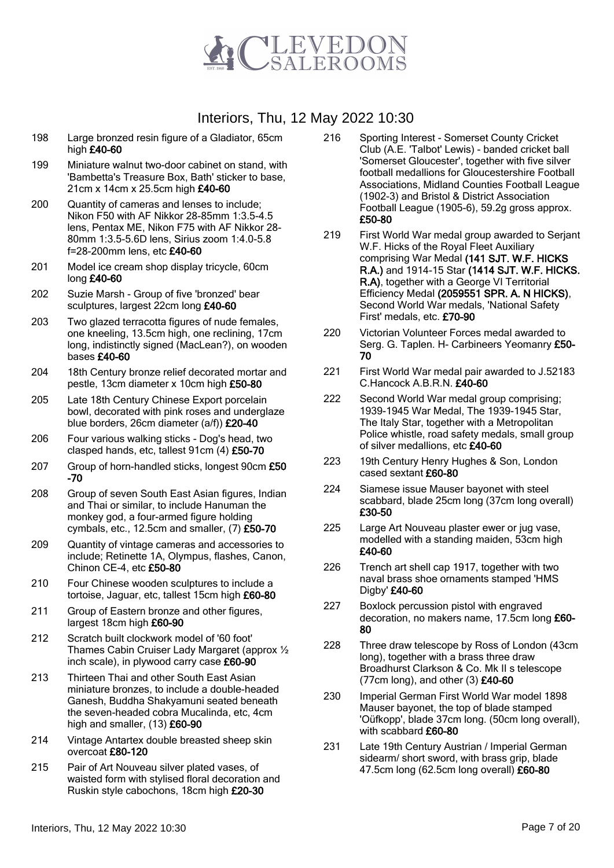

- 198 Large bronzed resin figure of a Gladiator, 65cm high £40-60
- 199 Miniature walnut two-door cabinet on stand, with 'Bambetta's Treasure Box, Bath' sticker to base, 21cm x 14cm x 25.5cm high £40-60
- 200 Quantity of cameras and lenses to include; Nikon F50 with AF Nikkor 28-85mm 1:3.5-4.5 lens, Pentax ME, Nikon F75 with AF Nikkor 28- 80mm 1:3.5-5.6D lens, Sirius zoom 1:4.0-5.8 f=28-200mm lens, etc £40-60
- 201 Model ice cream shop display tricycle, 60cm long £40-60
- 202 Suzie Marsh Group of five 'bronzed' bear sculptures, largest 22cm long £40-60
- 203 Two glazed terracotta figures of nude females, one kneeling, 13.5cm high, one reclining, 17cm long, indistinctly signed (MacLean?), on wooden bases £40-60
- 204 18th Century bronze relief decorated mortar and pestle, 13cm diameter x 10cm high £50-80
- 205 Late 18th Century Chinese Export porcelain bowl, decorated with pink roses and underglaze blue borders, 26cm diameter (a/f)) £20-40
- 206 Four various walking sticks Dog's head, two clasped hands, etc, tallest 91cm (4) £50-70
- 207 Group of horn-handled sticks, longest 90cm £50 -70
- 208 Group of seven South East Asian figures, Indian and Thai or similar, to include Hanuman the monkey god, a four-armed figure holding cymbals, etc., 12.5cm and smaller, (7) £50-70
- 209 Quantity of vintage cameras and accessories to include; Retinette 1A, Olympus, flashes, Canon, Chinon CE-4, etc £50-80
- 210 Four Chinese wooden sculptures to include a tortoise, Jaguar, etc, tallest 15cm high £60-80
- 211 Group of Eastern bronze and other figures, largest 18cm high £60-90
- 212 Scratch built clockwork model of '60 foot' Thames Cabin Cruiser Lady Margaret (approx ½ inch scale), in plywood carry case £60-90
- 213 Thirteen Thai and other South East Asian miniature bronzes, to include a double-headed Ganesh, Buddha Shakyamuni seated beneath the seven-headed cobra Mucalinda, etc, 4cm high and smaller, (13) £60-90
- 214 Vintage Antartex double breasted sheep skin overcoat £80-120
- 215 Pair of Art Nouveau silver plated vases, of waisted form with stylised floral decoration and Ruskin style cabochons, 18cm high £20-30
- 216 Sporting Interest Somerset County Cricket Club (A.E. 'Talbot' Lewis) - banded cricket ball 'Somerset Gloucester', together with five silver football medallions for Gloucestershire Football Associations, Midland Counties Football League (1902-3) and Bristol & District Association Football League (1905-6), 59.2g gross approx. £50-80
- 219 First World War medal group awarded to Serjant W.F. Hicks of the Royal Fleet Auxiliary comprising War Medal (141 SJT. W.F. HICKS R.A.) and 1914-15 Star (1414 SJT. W.F. HICKS. R.A), together with a George VI Territorial Efficiency Medal (2059551 SPR. A. N HICKS), Second World War medals, 'National Safety First' medals, etc. £70-90
- 220 Victorian Volunteer Forces medal awarded to Serg. G. Taplen. H- Carbineers Yeomanry £50-70
- 221 First World War medal pair awarded to J.52183 C.Hancock A.B.R.N. £40-60
- 222 Second World War medal group comprising; 1939-1945 War Medal, The 1939-1945 Star, The Italy Star, together with a Metropolitan Police whistle, road safety medals, small group of silver medallions, etc £40-60
- 223 19th Century Henry Hughes & Son, London cased sextant £60-80
- 224 Siamese issue Mauser bayonet with steel scabbard, blade 25cm long (37cm long overall) £30-50
- 225 Large Art Nouveau plaster ewer or jug vase, modelled with a standing maiden, 53cm high £40-60
- 226 Trench art shell cap 1917, together with two naval brass shoe ornaments stamped 'HMS Digby' £40-60
- 227 Boxlock percussion pistol with engraved decoration, no makers name, 17.5cm long £60- 80
- 228 Three draw telescope by Ross of London (43cm long), together with a brass three draw Broadhurst Clarkson & Co. Mk II s telescope (77cm long), and other  $(3)$  £40-60
- 230 Imperial German First World War model 1898 Mauser bayonet, the top of blade stamped 'Oüfkopp', blade 37cm long. (50cm long overall), with scabbard £60-80
- 231 Late 19th Century Austrian / Imperial German sidearm/ short sword, with brass grip, blade 47.5cm long (62.5cm long overall) £60-80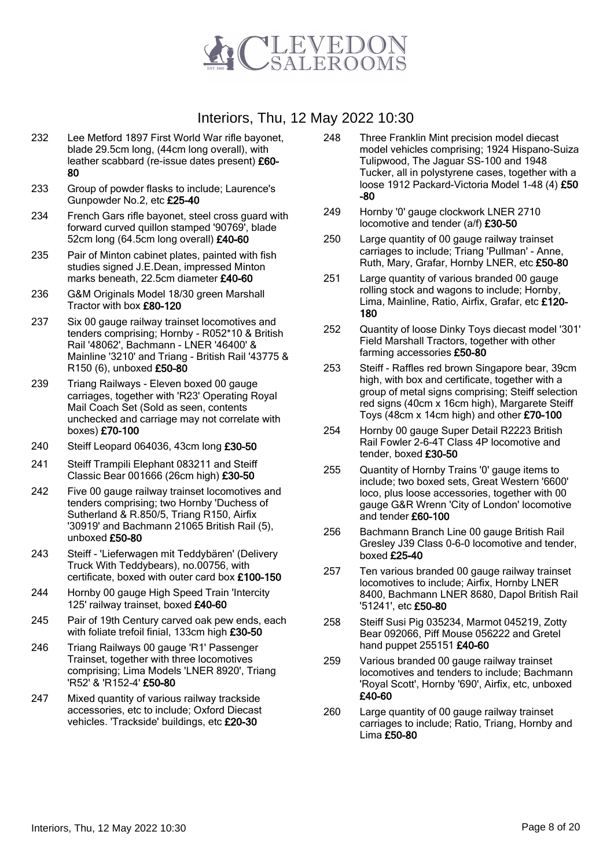

- 232 Lee Metford 1897 First World War rifle bayonet, blade 29.5cm long, (44cm long overall), with leather scabbard (re-issue dates present) £60- 80
- 233 Group of powder flasks to include; Laurence's Gunpowder No.2, etc £25-40
- 234 French Gars rifle bayonet, steel cross guard with forward curved quillon stamped '90769', blade 52cm long (64.5cm long overall) £40-60
- 235 Pair of Minton cabinet plates, painted with fish studies signed J.E.Dean, impressed Minton marks beneath, 22.5cm diameter £40-60
- 236 G&M Originals Model 18/30 green Marshall Tractor with box £80-120
- 237 Six 00 gauge railway trainset locomotives and tenders comprising; Hornby - R052\*10 & British Rail '48062', Bachmann - LNER '46400' & Mainline '3210' and Triang - British Rail '43775 & R150 (6), unboxed £50-80
- 239 Triang Railways Eleven boxed 00 gauge carriages, together with 'R23' Operating Royal Mail Coach Set (Sold as seen, contents unchecked and carriage may not correlate with boxes) £70-100
- 240 Steiff Leopard 064036, 43cm long £30-50
- 241 Steiff Trampili Elephant 083211 and Steiff Classic Bear 001666 (26cm high) £30-50
- 242 Five 00 gauge railway trainset locomotives and tenders comprising; two Hornby 'Duchess of Sutherland & R.850/5, Triang R150, Airfix '30919' and Bachmann 21065 British Rail (5), unboxed £50-80
- 243 Steiff 'Lieferwagen mit Teddybären' (Delivery Truck With Teddybears), no.00756, with certificate, boxed with outer card box £100-150
- 244 Hornby 00 gauge High Speed Train 'Intercity 125' railway trainset, boxed £40-60
- 245 Pair of 19th Century carved oak pew ends, each with foliate trefoil finial, 133cm high £30-50
- 246 Triang Railways 00 gauge 'R1' Passenger Trainset, together with three locomotives comprising; Lima Models 'LNER 8920', Triang 'R52' & 'R152-4' £50-80
- 247 Mixed quantity of various railway trackside accessories, etc to include; Oxford Diecast vehicles. 'Trackside' buildings, etc £20-30
- 248 Three Franklin Mint precision model diecast model vehicles comprising; 1924 Hispano-Suiza Tulipwood, The Jaguar SS-100 and 1948 Tucker, all in polystyrene cases, together with a loose 1912 Packard-Victoria Model 1-48 (4) £50 -80
- 249 Hornby '0' gauge clockwork LNER 2710 locomotive and tender (a/f) £30-50
- 250 Large quantity of 00 gauge railway trainset carriages to include; Triang 'Pullman' - Anne, Ruth, Mary, Grafar, Hornby LNER, etc £50-80
- 251 Large quantity of various branded 00 gauge rolling stock and wagons to include; Hornby, Lima, Mainline, Ratio, Airfix, Grafar, etc £120- 180
- 252 Quantity of loose Dinky Toys diecast model '301' Field Marshall Tractors, together with other farming accessories £50-80
- 253 Steiff Raffles red brown Singapore bear, 39cm high, with box and certificate, together with a group of metal signs comprising; Steiff selection red signs (40cm x 16cm high), Margarete Steiff Toys (48cm x 14cm high) and other £70-100
- 254 Hornby 00 gauge Super Detail R2223 British Rail Fowler 2-6-4T Class 4P locomotive and tender, boxed £30-50
- 255 Quantity of Hornby Trains '0' gauge items to include; two boxed sets, Great Western '6600' loco, plus loose accessories, together with 00 gauge G&R Wrenn 'City of London' locomotive and tender £60-100
- 256 Bachmann Branch Line 00 gauge British Rail Gresley J39 Class 0-6-0 locomotive and tender, boxed £25-40
- 257 Ten various branded 00 gauge railway trainset locomotives to include; Airfix, Hornby LNER 8400, Bachmann LNER 8680, Dapol British Rail '51241', etc £50-80
- 258 Steiff Susi Pig 035234, Marmot 045219, Zotty Bear 092066, Piff Mouse 056222 and Gretel hand puppet 255151 £40-60
- 259 Various branded 00 gauge railway trainset locomotives and tenders to include; Bachmann 'Royal Scott', Hornby '690', Airfix, etc, unboxed £40-60
- 260 Large quantity of 00 gauge railway trainset carriages to include; Ratio, Triang, Hornby and Lima £50-80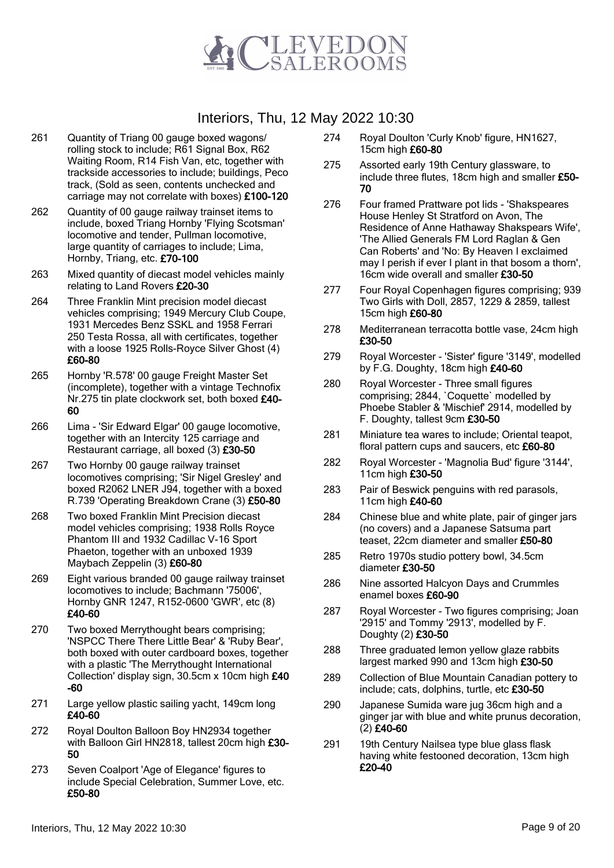

- 261 Quantity of Triang 00 gauge boxed wagons/ rolling stock to include; R61 Signal Box, R62 Waiting Room, R14 Fish Van, etc, together with trackside accessories to include; buildings, Peco track, (Sold as seen, contents unchecked and carriage may not correlate with boxes) £100-120
- 262 Quantity of 00 gauge railway trainset items to include, boxed Triang Hornby 'Flying Scotsman' locomotive and tender, Pullman locomotive, large quantity of carriages to include; Lima, Hornby, Triang, etc. £70-100
- 263 Mixed quantity of diecast model vehicles mainly relating to Land Rovers £20-30
- 264 Three Franklin Mint precision model diecast vehicles comprising; 1949 Mercury Club Coupe, 1931 Mercedes Benz SSKL and 1958 Ferrari 250 Testa Rossa, all with certificates, together with a loose 1925 Rolls-Royce Silver Ghost (4) £60-80
- 265 Hornby 'R.578' 00 gauge Freight Master Set (incomplete), together with a vintage Technofix Nr.275 tin plate clockwork set, both boxed £40- 60
- 266 Lima 'Sir Edward Elgar' 00 gauge locomotive, together with an Intercity 125 carriage and Restaurant carriage, all boxed (3) £30-50
- 267 Two Hornby 00 gauge railway trainset locomotives comprising; 'Sir Nigel Gresley' and boxed R2062 LNER J94, together with a boxed R.739 'Operating Breakdown Crane (3) £50-80
- 268 Two boxed Franklin Mint Precision diecast model vehicles comprising; 1938 Rolls Royce Phantom III and 1932 Cadillac V-16 Sport Phaeton, together with an unboxed 1939 Maybach Zeppelin (3) £60-80
- 269 Eight various branded 00 gauge railway trainset locomotives to include; Bachmann '75006', Hornby GNR 1247, R152-0600 'GWR', etc (8) £40-60
- 270 Two boxed Merrythought bears comprising; 'NSPCC There There Little Bear' & 'Ruby Bear', both boxed with outer cardboard boxes, together with a plastic 'The Merrythought International Collection' display sign, 30.5cm x 10cm high £40 -60
- 271 Large yellow plastic sailing yacht, 149cm long £40-60
- 272 Royal Doulton Balloon Boy HN2934 together with Balloon Girl HN2818, tallest 20cm high £30-50
- 273 Seven Coalport 'Age of Elegance' figures to include Special Celebration, Summer Love, etc. £50-80
- 274 Royal Doulton 'Curly Knob' figure, HN1627, 15cm high £60-80
- 275 Assorted early 19th Century glassware, to include three flutes, 18cm high and smaller £50- 70
- 276 Four framed Prattware pot lids 'Shakspeares House Henley St Stratford on Avon, The Residence of Anne Hathaway Shakspears Wife', 'The Allied Generals FM Lord Raglan & Gen Can Roberts' and 'No: By Heaven I exclaimed may I perish if ever I plant in that bosom a thorn', 16cm wide overall and smaller £30-50
- 277 Four Royal Copenhagen figures comprising; 939 Two Girls with Doll, 2857, 1229 & 2859, tallest 15cm high £60-80
- 278 Mediterranean terracotta bottle vase, 24cm high £30-50
- 279 Royal Worcester 'Sister' figure '3149', modelled by F.G. Doughty, 18cm high £40-60
- 280 Royal Worcester Three small figures comprising; 2844, `Coquette` modelled by Phoebe Stabler & 'Mischief' 2914, modelled by F. Doughty, tallest 9cm £30-50
- 281 Miniature tea wares to include; Oriental teapot, floral pattern cups and saucers, etc £60-80
- 282 Royal Worcester 'Magnolia Bud' figure '3144', 11cm high £30-50
- 283 Pair of Beswick penguins with red parasols, 11cm high £40-60
- 284 Chinese blue and white plate, pair of ginger jars (no covers) and a Japanese Satsuma part teaset, 22cm diameter and smaller £50-80
- 285 Retro 1970s studio pottery bowl, 34.5cm diameter £30-50
- 286 Nine assorted Halcyon Days and Crummles enamel boxes £60-90
- 287 Royal Worcester Two figures comprising; Joan '2915' and Tommy '2913', modelled by F. Doughty (2) £30-50
- 288 Three graduated lemon yellow glaze rabbits largest marked 990 and 13cm high £30-50
- 289 Collection of Blue Mountain Canadian pottery to include; cats, dolphins, turtle, etc £30-50
- 290 Japanese Sumida ware jug 36cm high and a ginger jar with blue and white prunus decoration, (2) £40-60
- 291 19th Century Nailsea type blue glass flask having white festooned decoration, 13cm high £20-40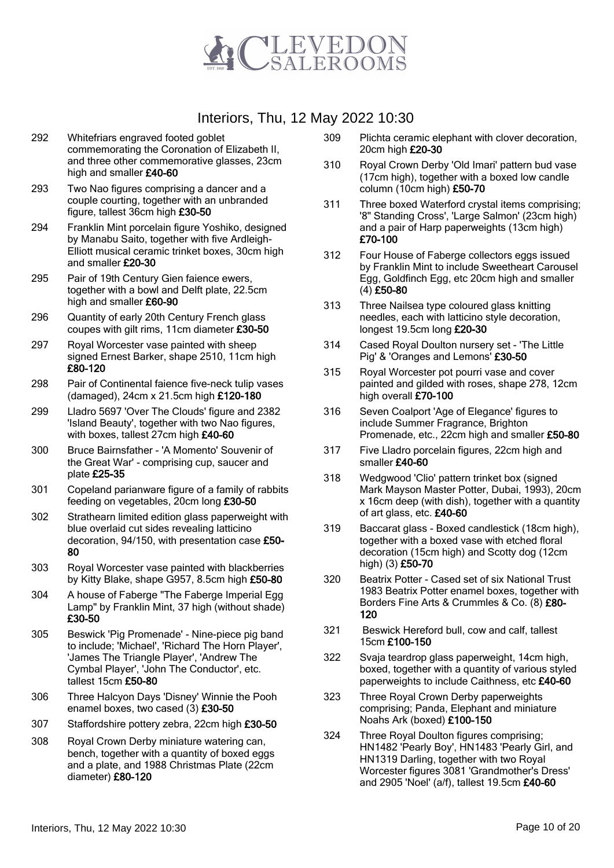

- 292 Whitefriars engraved footed goblet commemorating the Coronation of Elizabeth II, and three other commemorative glasses, 23cm high and smaller £40-60
- 293 Two Nao figures comprising a dancer and a couple courting, together with an unbranded figure, tallest 36cm high £30-50
- 294 Franklin Mint porcelain figure Yoshiko, designed by Manabu Saito, together with five Ardleigh-Elliott musical ceramic trinket boxes, 30cm high and smaller £20-30
- 295 Pair of 19th Century Gien faience ewers, together with a bowl and Delft plate, 22.5cm high and smaller £60-90
- 296 Quantity of early 20th Century French glass coupes with gilt rims, 11cm diameter £30-50
- 297 Royal Worcester vase painted with sheep signed Ernest Barker, shape 2510, 11cm high £80-120
- 298 Pair of Continental faience five-neck tulip vases (damaged), 24cm x 21.5cm high £120-180
- 299 Lladro 5697 'Over The Clouds' figure and 2382 'Island Beauty', together with two Nao figures, with boxes, tallest 27cm high £40-60
- 300 Bruce Bairnsfather 'A Momento' Souvenir of the Great War' - comprising cup, saucer and plate £25-35
- 301 Copeland parianware figure of a family of rabbits feeding on vegetables, 20cm long £30-50
- 302 Strathearn limited edition glass paperweight with blue overlaid cut sides revealing latticino decoration, 94/150, with presentation case £50- 80
- 303 Royal Worcester vase painted with blackberries by Kitty Blake, shape G957, 8.5cm high £50-80
- 304 A house of Faberge "The Faberge Imperial Egg Lamp" by Franklin Mint, 37 high (without shade) £30-50
- 305 Beswick 'Pig Promenade' Nine-piece pig band to include; 'Michael', 'Richard The Horn Player', 'James The Triangle Player', 'Andrew The Cymbal Player', 'John The Conductor', etc. tallest 15cm £50-80
- 306 Three Halcyon Days 'Disney' Winnie the Pooh enamel boxes, two cased (3) £30-50
- 307 Staffordshire pottery zebra, 22cm high £30-50
- 308 Royal Crown Derby miniature watering can, bench, together with a quantity of boxed eggs and a plate, and 1988 Christmas Plate (22cm diameter) £80-120
- 309 Plichta ceramic elephant with clover decoration, 20cm high £20-30
- 310 Royal Crown Derby 'Old Imari' pattern bud vase (17cm high), together with a boxed low candle column (10cm high) £50-70
- 311 Three boxed Waterford crystal items comprising; '8" Standing Cross', 'Large Salmon' (23cm high) and a pair of Harp paperweights (13cm high) £70-100
- 312 Four House of Faberge collectors eggs issued by Franklin Mint to include Sweetheart Carousel Egg, Goldfinch Egg, etc 20cm high and smaller (4) £50-80
- 313 Three Nailsea type coloured glass knitting needles, each with latticino style decoration, longest 19.5cm long £20-30
- 314 Cased Royal Doulton nursery set 'The Little Pig' & 'Oranges and Lemons' £30-50
- 315 Royal Worcester pot pourri vase and cover painted and gilded with roses, shape 278, 12cm high overall £70-100
- 316 Seven Coalport 'Age of Elegance' figures to include Summer Fragrance, Brighton Promenade, etc., 22cm high and smaller £50-80
- 317 Five Lladro porcelain figures, 22cm high and smaller £40-60
- 318 Wedgwood 'Clio' pattern trinket box (signed Mark Mayson Master Potter, Dubai, 1993), 20cm x 16cm deep (with dish), together with a quantity of art glass, etc. £40-60
- 319 Baccarat glass Boxed candlestick (18cm high), together with a boxed vase with etched floral decoration (15cm high) and Scotty dog (12cm high) (3) £50-70
- 320 Beatrix Potter Cased set of six National Trust 1983 Beatrix Potter enamel boxes, together with Borders Fine Arts & Crummles & Co. (8) £80- 120
- 321 Beswick Hereford bull, cow and calf, tallest 15cm £100-150
- 322 Svaja teardrop glass paperweight, 14cm high, boxed, together with a quantity of various styled paperweights to include Caithness, etc £40-60
- 323 Three Royal Crown Derby paperweights comprising; Panda, Elephant and miniature Noahs Ark (boxed) £100-150
- 324 Three Royal Doulton figures comprising; HN1482 'Pearly Boy', HN1483 'Pearly Girl, and HN1319 Darling, together with two Royal Worcester figures 3081 'Grandmother's Dress' and 2905 'Noel' (a/f), tallest 19.5cm £40-60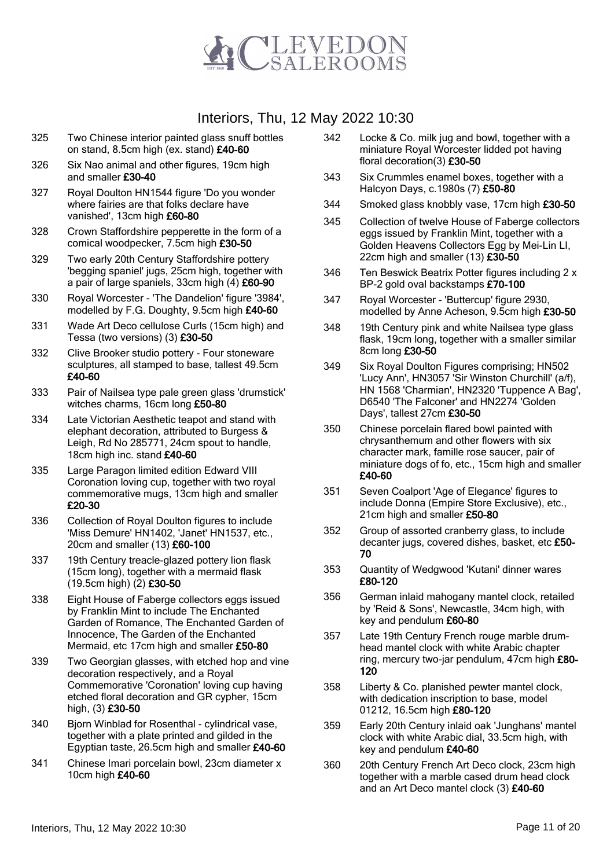

- 325 Two Chinese interior painted glass snuff bottles on stand, 8.5cm high (ex. stand) £40-60
- 326 Six Nao animal and other figures, 19cm high and smaller £30-40
- 327 Royal Doulton HN1544 figure 'Do you wonder where fairies are that folks declare have vanished', 13cm high £60-80
- 328 Crown Staffordshire pepperette in the form of a comical woodpecker, 7.5cm high £30-50
- 329 Two early 20th Century Staffordshire pottery 'begging spaniel' jugs, 25cm high, together with a pair of large spaniels, 33cm high (4) £60-90
- 330 Royal Worcester 'The Dandelion' figure '3984', modelled by F.G. Doughty, 9.5cm high £40-60
- 331 Wade Art Deco cellulose Curls (15cm high) and Tessa (two versions) (3) £30-50
- 332 Clive Brooker studio pottery Four stoneware sculptures, all stamped to base, tallest 49.5cm £40-60
- 333 Pair of Nailsea type pale green glass 'drumstick' witches charms, 16cm long £50-80
- 334 Late Victorian Aesthetic teapot and stand with elephant decoration, attributed to Burgess & Leigh, Rd No 285771, 24cm spout to handle, 18cm high inc. stand £40-60
- 335 Large Paragon limited edition Edward VIII Coronation loving cup, together with two royal commemorative mugs, 13cm high and smaller £20-30
- 336 Collection of Royal Doulton figures to include 'Miss Demure' HN1402, 'Janet' HN1537, etc., 20cm and smaller (13) £60-100
- 337 19th Century treacle-glazed pottery lion flask (15cm long), together with a mermaid flask (19.5cm high) (2) £30-50
- 338 Eight House of Faberge collectors eggs issued by Franklin Mint to include The Enchanted Garden of Romance, The Enchanted Garden of Innocence, The Garden of the Enchanted Mermaid, etc 17cm high and smaller £50-80
- 339 Two Georgian glasses, with etched hop and vine decoration respectively, and a Royal Commemorative 'Coronation' loving cup having etched floral decoration and GR cypher, 15cm high, (3) £30-50
- 340 Bjorn Winblad for Rosenthal cylindrical vase, together with a plate printed and gilded in the Egyptian taste, 26.5cm high and smaller £40-60
- 341 Chinese Imari porcelain bowl, 23cm diameter x 10cm high £40-60
- 342 Locke & Co. milk jug and bowl, together with a miniature Royal Worcester lidded pot having floral decoration(3) £30-50
- 343 Six Crummles enamel boxes, together with a Halcyon Days, c.1980s (7) £50-80
- 344 Smoked glass knobbly vase, 17cm high £30-50
- 345 Collection of twelve House of Faberge collectors eggs issued by Franklin Mint, together with a Golden Heavens Collectors Egg by Mei-Lin LI, 22cm high and smaller (13) £30-50
- 346 Ten Beswick Beatrix Potter figures including 2 x BP-2 gold oval backstamps £70-100
- 347 Royal Worcester 'Buttercup' figure 2930, modelled by Anne Acheson, 9.5cm high £30-50
- 348 19th Century pink and white Nailsea type glass flask, 19cm long, together with a smaller similar 8cm long £30-50
- 349 Six Royal Doulton Figures comprising; HN502 'Lucy Ann', HN3057 'Sir Winston Churchill' (a/f), HN 1568 'Charmian', HN2320 'Tuppence A Bag', D6540 'The Falconer' and HN2274 'Golden Days', tallest 27cm £30-50
- 350 Chinese porcelain flared bowl painted with chrysanthemum and other flowers with six character mark, famille rose saucer, pair of miniature dogs of fo, etc., 15cm high and smaller £40-60
- 351 Seven Coalport 'Age of Elegance' figures to include Donna (Empire Store Exclusive), etc., 21cm high and smaller £50-80
- 352 Group of assorted cranberry glass, to include decanter jugs, covered dishes, basket, etc £50- 70
- 353 Quantity of Wedgwood 'Kutani' dinner wares £80-120
- 356 German inlaid mahogany mantel clock, retailed by 'Reid & Sons', Newcastle, 34cm high, with key and pendulum £60-80
- 357 Late 19th Century French rouge marble drumhead mantel clock with white Arabic chapter ring, mercury two-jar pendulum, 47cm high £80-120
- 358 Liberty & Co. planished pewter mantel clock, with dedication inscription to base, model 01212, 16.5cm high £80-120
- 359 Early 20th Century inlaid oak 'Junghans' mantel clock with white Arabic dial, 33.5cm high, with key and pendulum £40-60
- 360 20th Century French Art Deco clock, 23cm high together with a marble cased drum head clock and an Art Deco mantel clock (3) £40-60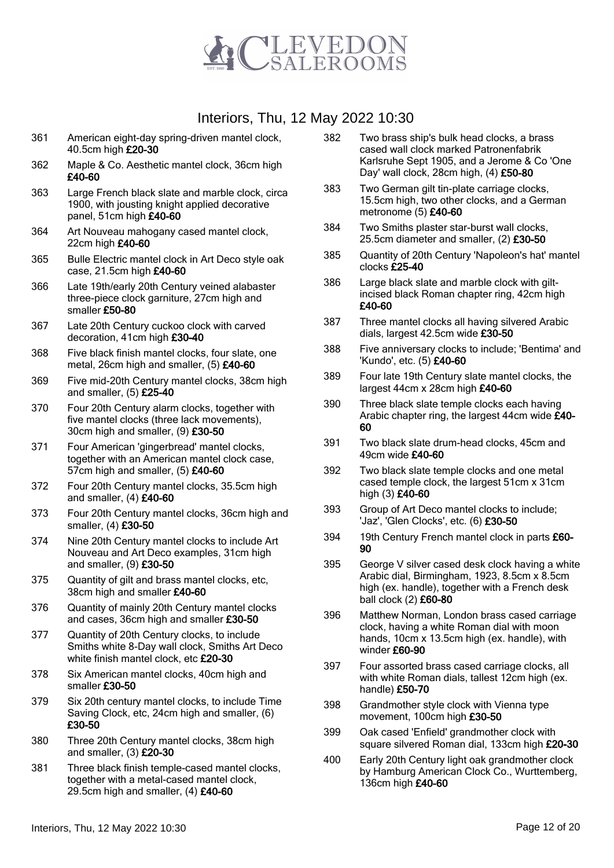

- 361 American eight-day spring-driven mantel clock, 40.5cm high £20-30
- 362 Maple & Co. Aesthetic mantel clock, 36cm high £40-60
- 363 Large French black slate and marble clock, circa 1900, with jousting knight applied decorative panel, 51cm high £40-60
- 364 Art Nouveau mahogany cased mantel clock, 22cm high £40-60
- 365 Bulle Electric mantel clock in Art Deco style oak case, 21.5cm high £40-60
- 366 Late 19th/early 20th Century veined alabaster three-piece clock garniture, 27cm high and smaller £50-80
- 367 Late 20th Century cuckoo clock with carved decoration, 41cm high £30-40
- 368 Five black finish mantel clocks, four slate, one metal, 26cm high and smaller, (5) £40-60
- 369 Five mid-20th Century mantel clocks, 38cm high and smaller, (5) £25-40
- 370 Four 20th Century alarm clocks, together with five mantel clocks (three lack movements), 30cm high and smaller, (9) £30-50
- 371 Four American 'gingerbread' mantel clocks, together with an American mantel clock case, 57cm high and smaller, (5) £40-60
- 372 Four 20th Century mantel clocks, 35.5cm high and smaller,  $(4)$  £40-60
- 373 Four 20th Century mantel clocks, 36cm high and smaller, (4) £30-50
- 374 Nine 20th Century mantel clocks to include Art Nouveau and Art Deco examples, 31cm high and smaller, (9) £30-50
- 375 Quantity of gilt and brass mantel clocks, etc, 38cm high and smaller £40-60
- 376 Quantity of mainly 20th Century mantel clocks and cases, 36cm high and smaller £30-50
- 377 Quantity of 20th Century clocks, to include Smiths white 8-Day wall clock, Smiths Art Deco white finish mantel clock, etc £20-30
- 378 Six American mantel clocks, 40cm high and smaller £30-50
- 379 Six 20th century mantel clocks, to include Time Saving Clock, etc, 24cm high and smaller, (6) £30-50
- 380 Three 20th Century mantel clocks, 38cm high and smaller, (3) £20-30
- 381 Three black finish temple-cased mantel clocks, together with a metal-cased mantel clock, 29.5cm high and smaller, (4) £40-60
- 382 Two brass ship's bulk head clocks, a brass cased wall clock marked Patronenfabrik Karlsruhe Sept 1905, and a Jerome & Co 'One Day' wall clock, 28cm high, (4) £50-80
- 383 Two German gilt tin-plate carriage clocks, 15.5cm high, two other clocks, and a German metronome (5) £40-60
- 384 Two Smiths plaster star-burst wall clocks, 25.5cm diameter and smaller, (2) £30-50
- 385 Quantity of 20th Century 'Napoleon's hat' mantel clocks £25-40
- 386 Large black slate and marble clock with giltincised black Roman chapter ring, 42cm high £40-60
- 387 Three mantel clocks all having silvered Arabic dials, largest 42.5cm wide £30-50
- 388 Five anniversary clocks to include; 'Bentima' and 'Kundo', etc. (5) £40-60
- 389 Four late 19th Century slate mantel clocks, the largest 44cm x 28cm high £40-60
- 390 Three black slate temple clocks each having Arabic chapter ring, the largest 44cm wide £40- 60
- 391 Two black slate drum-head clocks, 45cm and 49cm wide £40-60
- 392 Two black slate temple clocks and one metal cased temple clock, the largest 51cm x 31cm high (3) £40-60
- 393 Group of Art Deco mantel clocks to include; 'Jaz', 'Glen Clocks', etc. (6) £30-50
- 394 19th Century French mantel clock in parts £60- 90
- 395 George V silver cased desk clock having a white Arabic dial, Birmingham, 1923, 8.5cm x 8.5cm high (ex. handle), together with a French desk ball clock (2) £60-80
- 396 Matthew Norman, London brass cased carriage clock, having a white Roman dial with moon hands, 10cm x 13.5cm high (ex. handle), with winder £60-90
- 397 Four assorted brass cased carriage clocks, all with white Roman dials, tallest 12cm high (ex. handle) £50-70
- 398 Grandmother style clock with Vienna type movement, 100cm high £30-50
- 399 Oak cased 'Enfield' grandmother clock with square silvered Roman dial, 133cm high £20-30
- 400 Early 20th Century light oak grandmother clock by Hamburg American Clock Co., Wurttemberg, 136cm high £40-60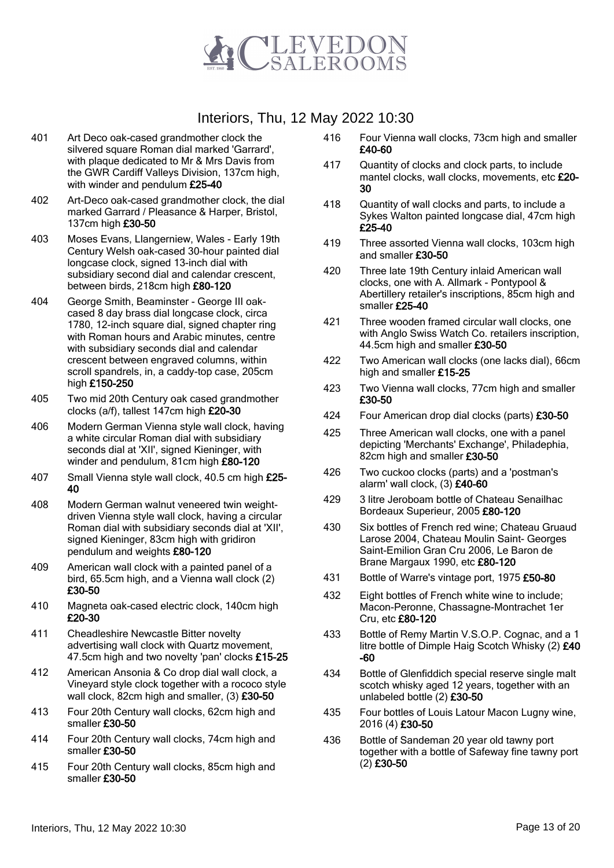

- 401 Art Deco oak-cased grandmother clock the silvered square Roman dial marked 'Garrard', with plaque dedicated to Mr & Mrs Davis from the GWR Cardiff Valleys Division, 137cm high, with winder and pendulum £25-40
- 402 Art-Deco oak-cased grandmother clock, the dial marked Garrard / Pleasance & Harper, Bristol, 137cm high £30-50
- 403 Moses Evans, Llangerniew, Wales Early 19th Century Welsh oak-cased 30-hour painted dial longcase clock, signed 13-inch dial with subsidiary second dial and calendar crescent, between birds, 218cm high £80-120
- 404 George Smith, Beaminster George III oakcased 8 day brass dial longcase clock, circa 1780, 12-inch square dial, signed chapter ring with Roman hours and Arabic minutes, centre with subsidiary seconds dial and calendar crescent between engraved columns, within scroll spandrels, in, a caddy-top case, 205cm high £150-250
- 405 Two mid 20th Century oak cased grandmother clocks (a/f), tallest 147cm high £20-30
- 406 Modern German Vienna style wall clock, having a white circular Roman dial with subsidiary seconds dial at 'XII', signed Kieninger, with winder and pendulum, 81cm high £80-120
- 407 Small Vienna style wall clock, 40.5 cm high £25- 40
- 408 Modern German walnut veneered twin weightdriven Vienna style wall clock, having a circular Roman dial with subsidiary seconds dial at 'XII', signed Kieninger, 83cm high with gridiron pendulum and weights £80-120
- 409 American wall clock with a painted panel of a bird, 65.5cm high, and a Vienna wall clock (2) £30-50
- 410 Magneta oak-cased electric clock, 140cm high £20-30
- 411 Cheadleshire Newcastle Bitter novelty advertising wall clock with Quartz movement, 47.5cm high and two novelty 'pan' clocks £15-25
- 412 American Ansonia & Co drop dial wall clock, a Vineyard style clock together with a rococo style wall clock, 82cm high and smaller, (3) £30-50
- 413 Four 20th Century wall clocks, 62cm high and smaller £30-50
- 414 Four 20th Century wall clocks, 74cm high and smaller £30-50
- 415 Four 20th Century wall clocks, 85cm high and smaller £30-50
- 416 Four Vienna wall clocks, 73cm high and smaller £40-60
- 417 Quantity of clocks and clock parts, to include mantel clocks, wall clocks, movements, etc £20-30
- 418 Quantity of wall clocks and parts, to include a Sykes Walton painted longcase dial, 47cm high £25-40
- 419 Three assorted Vienna wall clocks, 103cm high and smaller £30-50
- 420 Three late 19th Century inlaid American wall clocks, one with A. Allmark - Pontypool & Abertillery retailer's inscriptions, 85cm high and smaller £25-40
- 421 Three wooden framed circular wall clocks, one with Anglo Swiss Watch Co. retailers inscription, 44.5cm high and smaller £30-50
- 422 Two American wall clocks (one lacks dial), 66cm high and smaller £15-25
- 423 Two Vienna wall clocks, 77cm high and smaller £30-50
- 424 Four American drop dial clocks (parts) £30-50
- 425 Three American wall clocks, one with a panel depicting 'Merchants' Exchange', Philadephia, 82cm high and smaller £30-50
- 426 Two cuckoo clocks (parts) and a 'postman's alarm' wall clock, (3) £40-60
- 429 3 litre Jeroboam bottle of Chateau Senailhac Bordeaux Superieur, 2005 £80-120
- 430 Six bottles of French red wine; Chateau Gruaud Larose 2004, Chateau Moulin Saint- Georges Saint-Emilion Gran Cru 2006, Le Baron de Brane Margaux 1990, etc £80-120
- 431 Bottle of Warre's vintage port, 1975 £50-80
- 432 Eight bottles of French white wine to include; Macon-Peronne, Chassagne-Montrachet 1er Cru, etc £80-120
- 433 Bottle of Remy Martin V.S.O.P. Cognac, and a 1 litre bottle of Dimple Haig Scotch Whisky (2) £40 -60
- 434 Bottle of Glenfiddich special reserve single malt scotch whisky aged 12 years, together with an unlabeled bottle (2) £30-50
- 435 Four bottles of Louis Latour Macon Lugny wine, 2016 (4) £30-50
- 436 Bottle of Sandeman 20 year old tawny port together with a bottle of Safeway fine tawny port (2) £30-50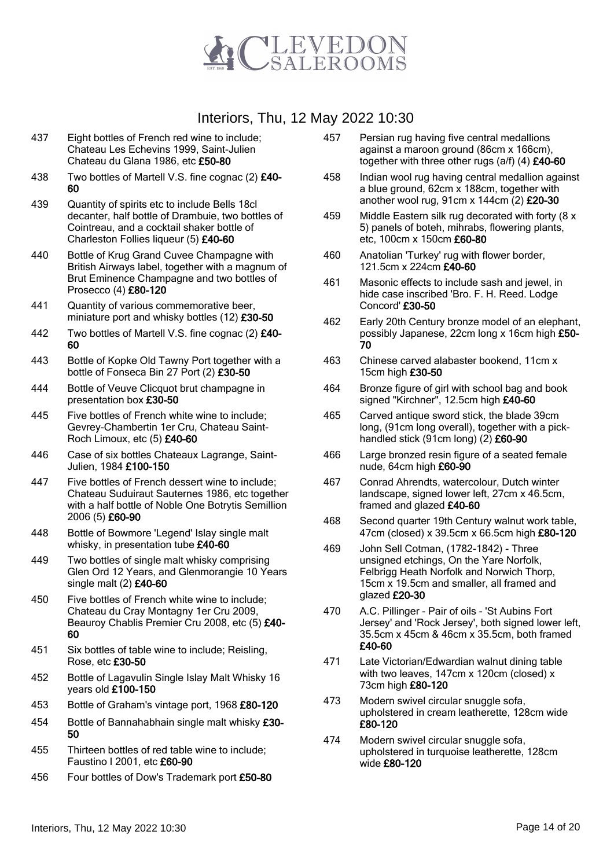

- 437 Eight bottles of French red wine to include; Chateau Les Echevins 1999, Saint-Julien Chateau du Glana 1986, etc £50-80
- 438 Two bottles of Martell V.S. fine cognac (2) £40-60

439 Quantity of spirits etc to include Bells 18cl decanter, half bottle of Drambuie, two bottles of Cointreau, and a cocktail shaker bottle of Charleston Follies liqueur (5) £40-60

- 440 Bottle of Krug Grand Cuvee Champagne with British Airways label, together with a magnum of Brut Eminence Champagne and two bottles of Prosecco (4) £80-120
- 441 Quantity of various commemorative beer, miniature port and whisky bottles (12) £30-50
- 442 Two bottles of Martell V.S. fine cognac (2) £40-60
- 443 Bottle of Kopke Old Tawny Port together with a bottle of Fonseca Bin 27 Port (2) £30-50
- 444 Bottle of Veuve Clicquot brut champagne in presentation box £30-50
- 445 Five bottles of French white wine to include; Gevrey-Chambertin 1er Cru, Chateau Saint-Roch Limoux, etc (5) £40-60
- 446 Case of six bottles Chateaux Lagrange, Saint-Julien, 1984 £100-150
- 447 Five bottles of French dessert wine to include; Chateau Suduiraut Sauternes 1986, etc together with a half bottle of Noble One Botrytis Semillion 2006 (5) £60-90
- 448 Bottle of Bowmore 'Legend' Islay single malt whisky, in presentation tube £40-60
- 449 Two bottles of single malt whisky comprising Glen Ord 12 Years, and Glenmorangie 10 Years single malt (2) £40-60
- 450 Five bottles of French white wine to include; Chateau du Cray Montagny 1er Cru 2009, Beauroy Chablis Premier Cru 2008, etc (5) £40-60
- 451 Six bottles of table wine to include; Reisling, Rose, etc £30-50
- 452 Bottle of Lagavulin Single Islay Malt Whisky 16 years old £100-150
- 453 Bottle of Graham's vintage port, 1968 £80-120
- 454 Bottle of Bannahabhain single malt whisky £30-50
- 455 Thirteen bottles of red table wine to include; Faustino I 2001, etc £60-90
- 456 Four bottles of Dow's Trademark port £50-80
- 457 Persian rug having five central medallions against a maroon ground (86cm x 166cm), together with three other rugs (a/f) (4) £40-60
- 458 Indian wool rug having central medallion against a blue ground, 62cm x 188cm, together with another wool rug, 91cm x 144cm (2) £20-30
- 459 Middle Eastern silk rug decorated with forty (8 x 5) panels of boteh, mihrabs, flowering plants, etc, 100cm x 150cm £60-80
- 460 Anatolian 'Turkey' rug with flower border, 121.5cm x 224cm £40-60
- 461 Masonic effects to include sash and jewel, in hide case inscribed 'Bro. F. H. Reed. Lodge Concord' £30-50
- 462 Early 20th Century bronze model of an elephant, possibly Japanese, 22cm long x 16cm high £50- 70
- 463 Chinese carved alabaster bookend, 11cm x 15cm high £30-50
- 464 Bronze figure of girl with school bag and book signed "Kirchner", 12.5cm high £40-60
- 465 Carved antique sword stick, the blade 39cm long, (91cm long overall), together with a pickhandled stick (91cm long)  $(2)$  £60-90
- 466 Large bronzed resin figure of a seated female nude, 64cm high £60-90
- 467 Conrad Ahrendts, watercolour, Dutch winter landscape, signed lower left, 27cm x 46.5cm, framed and glazed £40-60
- 468 Second quarter 19th Century walnut work table, 47cm (closed) x 39.5cm x 66.5cm high £80-120
- 469 John Sell Cotman, (1782-1842) Three unsigned etchings, On the Yare Norfolk, Felbrigg Heath Norfolk and Norwich Thorp, 15cm x 19.5cm and smaller, all framed and glazed £20-30
- 470 A.C. Pillinger Pair of oils 'St Aubins Fort Jersey' and 'Rock Jersey', both signed lower left, 35.5cm x 45cm & 46cm x 35.5cm, both framed £40-60
- 471 Late Victorian/Edwardian walnut dining table with two leaves, 147cm x 120cm (closed) x 73cm high £80-120
- 473 Modern swivel circular snuggle sofa, upholstered in cream leatherette, 128cm wide £80-120
- 474 Modern swivel circular snuggle sofa, upholstered in turquoise leatherette, 128cm wide £80-120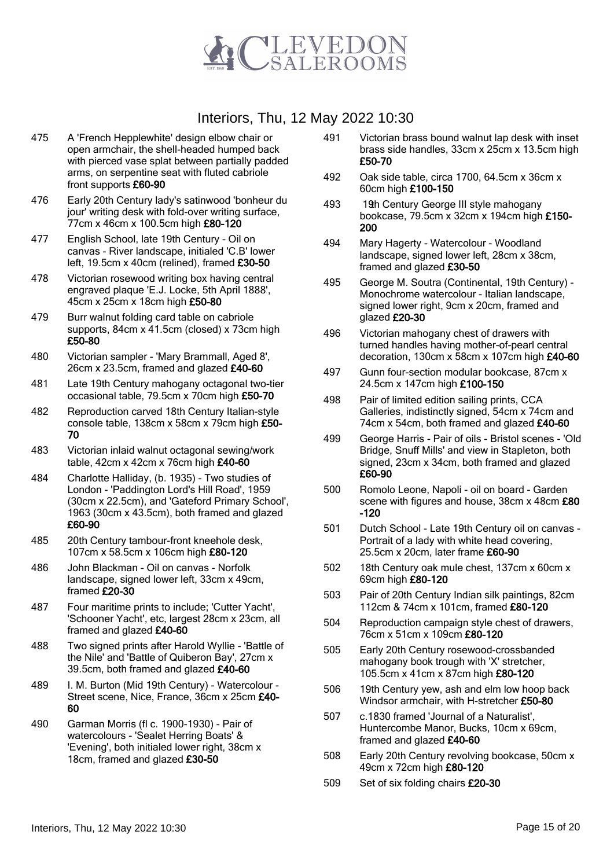

- 475 A 'French Hepplewhite' design elbow chair or open armchair, the shell-headed humped back with pierced vase splat between partially padded arms, on serpentine seat with fluted cabriole front supports £60-90
- 476 Early 20th Century lady's satinwood 'bonheur du jour' writing desk with fold-over writing surface, 77cm x 46cm x 100.5cm high £80-120
- 477 English School, late 19th Century Oil on canvas - River landscape, initialed 'C.B' lower left, 19.5cm x 40cm (relined), framed £30-50
- 478 Victorian rosewood writing box having central engraved plaque 'E.J. Locke, 5th April 1888', 45cm x 25cm x 18cm high £50-80
- 479 Burr walnut folding card table on cabriole supports, 84cm x 41.5cm (closed) x 73cm high £50-80
- 480 Victorian sampler 'Mary Brammall, Aged 8', 26cm x 23.5cm, framed and glazed £40-60
- 481 Late 19th Century mahogany octagonal two-tier occasional table, 79.5cm x 70cm high £50-70
- 482 Reproduction carved 18th Century Italian-style console table, 138cm x 58cm x 79cm high £50- 70
- 483 Victorian inlaid walnut octagonal sewing/work table, 42cm x 42cm x 76cm high £40-60
- 484 Charlotte Halliday, (b. 1935) Two studies of London - 'Paddington Lord's Hill Road', 1959 (30cm x 22.5cm), and 'Gateford Primary School', 1963 (30cm x 43.5cm), both framed and glazed £60-90
- 485 20th Century tambour-front kneehole desk, 107cm x 58.5cm x 106cm high £80-120
- 486 John Blackman Oil on canvas Norfolk landscape, signed lower left, 33cm x 49cm, framed £20-30
- 487 Four maritime prints to include; 'Cutter Yacht', 'Schooner Yacht', etc, largest 28cm x 23cm, all framed and glazed £40-60
- 488 Two signed prints after Harold Wyllie 'Battle of the Nile' and 'Battle of Quiberon Bay', 27cm x 39.5cm, both framed and glazed £40-60
- 489 I. M. Burton (Mid 19th Century) Watercolour Street scene, Nice, France, 36cm x 25cm £40- 60
- 490 Garman Morris (fl c. 1900-1930) Pair of watercolours - 'Sealet Herring Boats' & 'Evening', both initialed lower right, 38cm x 18cm, framed and glazed £30-50
- 491 Victorian brass bound walnut lap desk with inset brass side handles, 33cm x 25cm x 13.5cm high £50-70
- 492 Oak side table, circa 1700, 64.5cm x 36cm x 60cm high £100-150
- 493 19th Century George III style mahogany bookcase, 79.5cm x 32cm x 194cm high £150- 200
- 494 Mary Hagerty Watercolour Woodland landscape, signed lower left, 28cm x 38cm, framed and glazed £30-50
- 495 George M. Soutra (Continental, 19th Century) Monochrome watercolour - Italian landscape, signed lower right, 9cm x 20cm, framed and glazed £20-30
- 496 Victorian mahogany chest of drawers with turned handles having mother-of-pearl central decoration, 130cm x 58cm x 107cm high £40-60
- 497 Gunn four-section modular bookcase, 87cm x 24.5cm x 147cm high £100-150
- 498 Pair of limited edition sailing prints, CCA Galleries, indistinctly signed, 54cm x 74cm and 74cm x 54cm, both framed and glazed £40-60
- 499 George Harris Pair of oils Bristol scenes 'Old Bridge, Snuff Mills' and view in Stapleton, both signed, 23cm x 34cm, both framed and glazed £60-90
- 500 Romolo Leone, Napoli oil on board Garden scene with figures and house, 38cm x 48cm £80 -120
- 501 Dutch School Late 19th Century oil on canvas Portrait of a lady with white head covering, 25.5cm x 20cm, later frame £60-90
- 502 18th Century oak mule chest, 137cm x 60cm x 69cm high £80-120
- 503 Pair of 20th Century Indian silk paintings, 82cm 112cm & 74cm x 101cm, framed £80-120
- 504 Reproduction campaign style chest of drawers, 76cm x 51cm x 109cm £80-120
- 505 Early 20th Century rosewood-crossbanded mahogany book trough with 'X' stretcher, 105.5cm x 41cm x 87cm high £80-120
- 506 19th Century yew, ash and elm low hoop back Windsor armchair, with H-stretcher £50-80
- 507 c.1830 framed 'Journal of a Naturalist', Huntercombe Manor, Bucks, 10cm x 69cm, framed and glazed £40-60
- 508 Early 20th Century revolving bookcase, 50cm x 49cm x 72cm high £80-120
- 509 Set of six folding chairs £20-30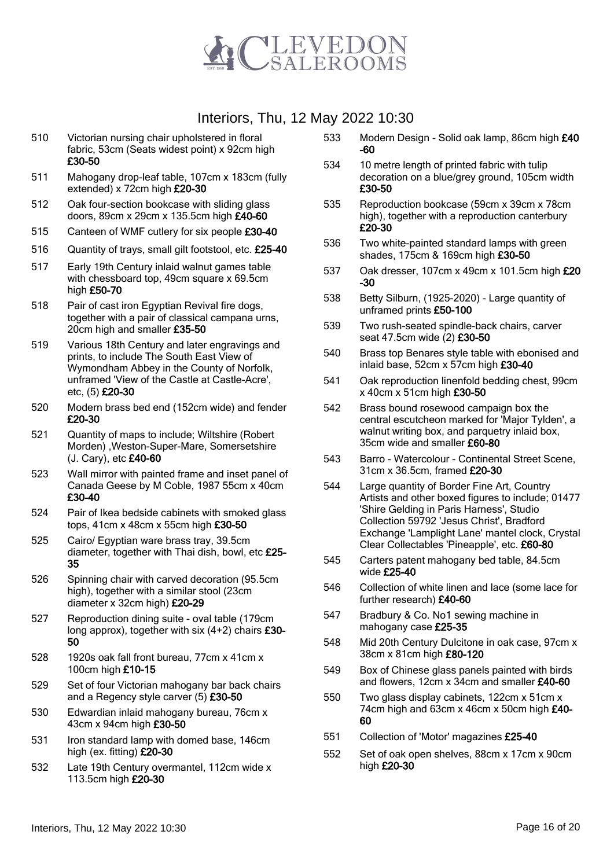

- 510 Victorian nursing chair upholstered in floral fabric, 53cm (Seats widest point) x 92cm high £30-50
- 511 Mahogany drop-leaf table, 107cm x 183cm (fully extended) x 72cm high £20-30
- 512 Oak four-section bookcase with sliding glass doors, 89cm x 29cm x 135.5cm high £40-60
- 515 Canteen of WMF cutlery for six people £30-40
- 516 Quantity of trays, small gilt footstool, etc. £25-40
- 517 Early 19th Century inlaid walnut games table with chessboard top, 49cm square x 69.5cm high £50-70
- 518 Pair of cast iron Egyptian Revival fire dogs, together with a pair of classical campana urns, 20cm high and smaller £35-50
- 519 Various 18th Century and later engravings and prints, to include The South East View of Wymondham Abbey in the County of Norfolk, unframed 'View of the Castle at Castle-Acre', etc, (5) £20-30
- 520 Modern brass bed end (152cm wide) and fender £20-30
- 521 Quantity of maps to include; Wiltshire (Robert Morden) ,Weston-Super-Mare, Somersetshire (J. Cary), etc £40-60
- 523 Wall mirror with painted frame and inset panel of Canada Geese by M Coble, 1987 55cm x 40cm £30-40
- 524 Pair of Ikea bedside cabinets with smoked glass tops, 41cm x 48cm x 55cm high £30-50
- 525 Cairo/ Egyptian ware brass tray, 39.5cm diameter, together with Thai dish, bowl, etc £25- 35
- 526 Spinning chair with carved decoration (95.5cm high), together with a similar stool (23cm diameter x 32cm high) £20-29
- 527 Reproduction dining suite oval table (179cm long approx), together with six (4+2) chairs £30- 50
- 528 1920s oak fall front bureau, 77cm x 41cm x 100cm high £10-15
- 529 Set of four Victorian mahogany bar back chairs and a Regency style carver (5) £30-50
- 530 Edwardian inlaid mahogany bureau, 76cm x 43cm x 94cm high £30-50
- 531 Iron standard lamp with domed base, 146cm high (ex. fitting) £20-30
- 532 Late 19th Century overmantel, 112cm wide x 113.5cm high £20-30
- 533 Modern Design Solid oak lamp, 86cm high £40 -60
- 534 10 metre length of printed fabric with tulip decoration on a blue/grey ground, 105cm width £30-50
- 535 Reproduction bookcase (59cm x 39cm x 78cm high), together with a reproduction canterbury £20-30
- 536 Two white-painted standard lamps with green shades, 175cm & 169cm high £30-50
- 537 Oak dresser, 107cm x 49cm x 101.5cm high £20 -30
- 538 Betty Silburn, (1925-2020) Large quantity of unframed prints £50-100
- 539 Two rush-seated spindle-back chairs, carver seat 47.5cm wide (2) £30-50
- 540 Brass top Benares style table with ebonised and inlaid base, 52cm x 57cm high £30-40
- 541 Oak reproduction linenfold bedding chest, 99cm x 40cm x 51cm high £30-50
- 542 Brass bound rosewood campaign box the central escutcheon marked for 'Major Tylden', a walnut writing box, and parquetry inlaid box, 35cm wide and smaller £60-80
- 543 Barro Watercolour Continental Street Scene, 31cm x 36.5cm, framed £20-30
- 544 Large quantity of Border Fine Art, Country Artists and other boxed figures to include; 01477 'Shire Gelding in Paris Harness', Studio Collection 59792 'Jesus Christ', Bradford Exchange 'Lamplight Lane' mantel clock, Crystal Clear Collectables 'Pineapple', etc. £60-80
- 545 Carters patent mahogany bed table, 84.5cm wide £25-40
- 546 Collection of white linen and lace (some lace for further research) £40-60
- 547 Bradbury & Co. No1 sewing machine in mahogany case £25-35
- 548 Mid 20th Century Dulcitone in oak case, 97cm x 38cm x 81cm high £80-120
- 549 Box of Chinese glass panels painted with birds and flowers, 12cm x 34cm and smaller £40-60
- 550 Two glass display cabinets, 122cm x 51cm x 74cm high and 63cm x 46cm x 50cm high £40-60
- 551 Collection of 'Motor' magazines £25-40
- 552 Set of oak open shelves, 88cm x 17cm x 90cm high £20-30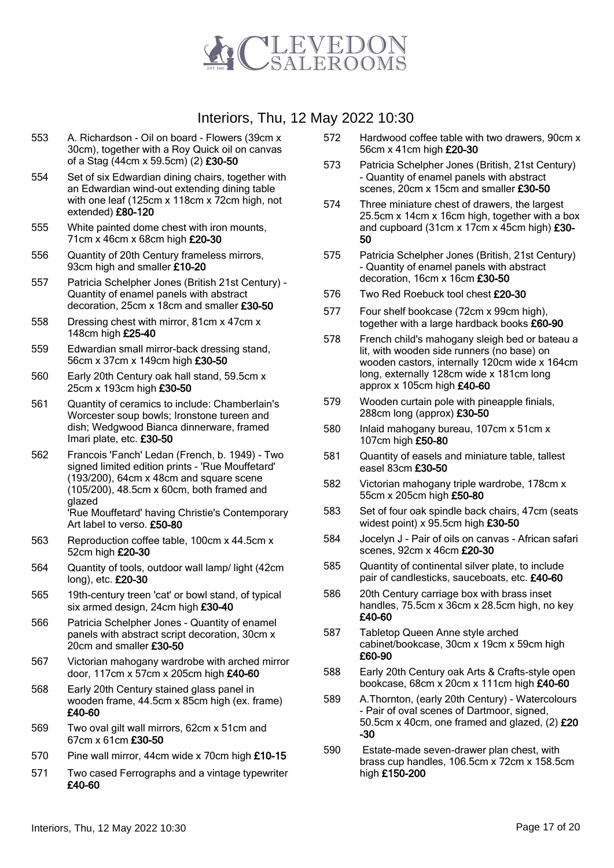

- 553 A. Richardson Oil on board Flowers (39cm x 30cm), together with a Roy Quick oil on canvas of a Stag (44cm x 59.5cm) (2) £30-50
- 554 Set of six Edwardian dining chairs, together with an Edwardian wind-out extending dining table with one leaf (125cm x 118cm x 72cm high, not extended) £80-120
- 555 White painted dome chest with iron mounts, 71cm x 46cm x 68cm high £20-30
- 556 Quantity of 20th Century frameless mirrors, 93cm high and smaller £10-20
- 557 Patricia Schelpher Jones (British 21st Century) Quantity of enamel panels with abstract decoration, 25cm x 18cm and smaller £30-50
- 558 Dressing chest with mirror, 81cm x 47cm x 148cm high £25-40
- 559 Edwardian small mirror-back dressing stand, 56cm x 37cm x 149cm high £30-50
- 560 Early 20th Century oak hall stand, 59.5cm x 25cm x 193cm high £30-50
- 561 Quantity of ceramics to include: Chamberlain's Worcester soup bowls; Ironstone tureen and dish; Wedgwood Bianca dinnerware, framed Imari plate, etc. £30-50
- 562 Francois 'Fanch' Ledan (French, b. 1949) Two signed limited edition prints - 'Rue Mouffetard' (193/200), 64cm x 48cm and square scene (105/200), 48.5cm x 60cm, both framed and glazed 'Rue Mouffetard' having Christie's Contemporary
- Art label to verso. £50-80 563 Reproduction coffee table, 100cm x 44.5cm x 52cm high £20-30
- 564 Quantity of tools, outdoor wall lamp/ light (42cm long), etc. £20-30
- 565 19th-century treen 'cat' or bowl stand, of typical six armed design, 24cm high £30-40
- 566 Patricia Schelpher Jones Quantity of enamel panels with abstract script decoration, 30cm x 20cm and smaller £30-50
- 567 Victorian mahogany wardrobe with arched mirror door, 117cm x 57cm x 205cm high £40-60
- 568 Early 20th Century stained glass panel in wooden frame, 44.5cm x 85cm high (ex. frame) £40-60
- 569 Two oval gilt wall mirrors, 62cm x 51cm and 67cm x 61cm £30-50
- 570 Pine wall mirror, 44cm wide x 70cm high £10-15
- 571 Two cased Ferrographs and a vintage typewriter £40-60
- 572 Hardwood coffee table with two drawers, 90cm x 56cm x 41cm high £20-30
- 573 Patricia Schelpher Jones (British, 21st Century) - Quantity of enamel panels with abstract scenes, 20cm x 15cm and smaller £30-50
- 574 Three miniature chest of drawers, the largest 25.5cm x 14cm x 16cm high, together with a box and cupboard (31cm x 17cm x 45cm high) £30- 50
- 575 Patricia Schelpher Jones (British, 21st Century) - Quantity of enamel panels with abstract decoration, 16cm x 16cm £30-50
- 576 Two Red Roebuck tool chest £20-30
- 577 Four shelf bookcase (72cm x 99cm high), together with a large hardback books £60-90
- 578 French child's mahogany sleigh bed or bateau a lit, with wooden side runners (no base) on wooden castors, internally 120cm wide x 164cm long, externally 128cm wide x 181cm long approx x 105cm high £40-60
- 579 Wooden curtain pole with pineapple finials, 288cm long (approx) £30-50
- 580 Inlaid mahogany bureau, 107cm x 51cm x 107cm high £50-80
- 581 Quantity of easels and miniature table, tallest easel 83cm £30-50
- 582 Victorian mahogany triple wardrobe, 178cm x 55cm x 205cm high £50-80
- 583 Set of four oak spindle back chairs, 47cm (seats widest point) x 95.5cm high £30-50
- 584 Jocelyn J Pair of oils on canvas African safari scenes, 92cm x 46cm £20-30
- 585 Quantity of continental silver plate, to include pair of candlesticks, sauceboats, etc. £40-60
- 586 20th Century carriage box with brass inset handles, 75.5cm x 36cm x 28.5cm high, no key £40-60
- 587 Tabletop Queen Anne style arched cabinet/bookcase, 30cm x 19cm x 59cm high £60-90
- 588 Early 20th Century oak Arts & Crafts-style open bookcase, 68cm x 20cm x 111cm high £40-60
- 589 A.Thornton, (early 20th Century) Watercolours - Pair of oval scenes of Dartmoor, signed, 50.5cm x 40cm, one framed and glazed, (2) £20 -30
- 590 Estate-made seven-drawer plan chest, with brass cup handles, 106.5cm x 72cm x 158.5cm high £150-200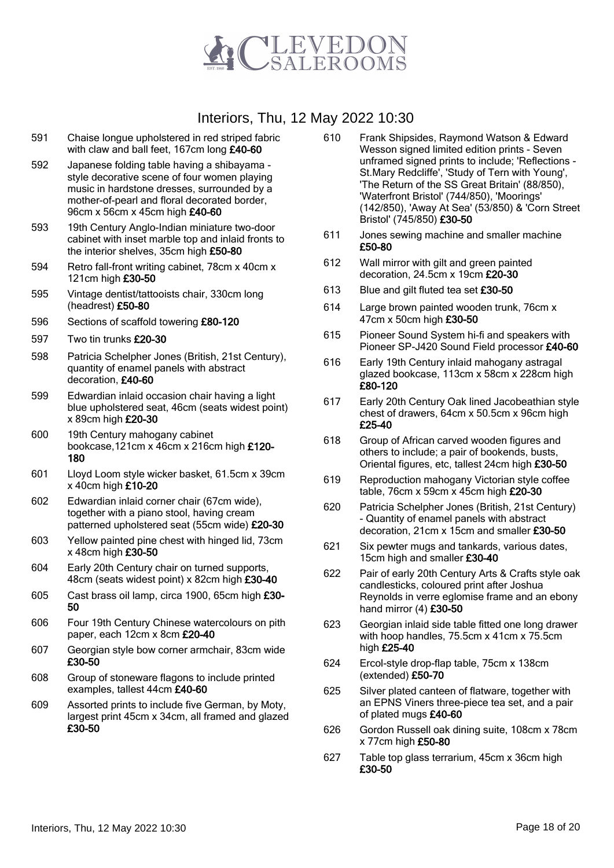

- 591 Chaise longue upholstered in red striped fabric with claw and ball feet, 167cm long £40-60
- 592 Japanese folding table having a shibayama style decorative scene of four women playing music in hardstone dresses, surrounded by a mother-of-pearl and floral decorated border, 96cm x 56cm x 45cm high £40-60
- 593 19th Century Anglo-Indian miniature two-door cabinet with inset marble top and inlaid fronts to the interior shelves, 35cm high £50-80
- 594 Retro fall-front writing cabinet, 78cm x 40cm x 121cm high £30-50
- 595 Vintage dentist/tattooists chair, 330cm long (headrest) £50-80
- 596 Sections of scaffold towering £80-120
- 597 Two tin trunks £20-30
- 598 Patricia Schelpher Jones (British, 21st Century), quantity of enamel panels with abstract decoration, £40-60
- 599 Edwardian inlaid occasion chair having a light blue upholstered seat, 46cm (seats widest point) x 89cm high £20-30
- 600 19th Century mahogany cabinet bookcase,121cm x 46cm x 216cm high £120- 180
- 601 Lloyd Loom style wicker basket, 61.5cm x 39cm x 40cm high £10-20
- 602 Edwardian inlaid corner chair (67cm wide), together with a piano stool, having cream patterned upholstered seat (55cm wide) £20-30
- 603 Yellow painted pine chest with hinged lid, 73cm x 48cm high £30-50
- 604 Early 20th Century chair on turned supports, 48cm (seats widest point) x 82cm high £30-40
- 605 Cast brass oil lamp, circa 1900, 65cm high £30- 50
- 606 Four 19th Century Chinese watercolours on pith paper, each 12cm x 8cm £20-40
- 607 Georgian style bow corner armchair, 83cm wide £30-50
- 608 Group of stoneware flagons to include printed examples, tallest 44cm £40-60
- 609 Assorted prints to include five German, by Moty, largest print 45cm x 34cm, all framed and glazed £30-50
- 610 Frank Shipsides, Raymond Watson & Edward Wesson signed limited edition prints - Seven unframed signed prints to include; 'Reflections - St.Mary Redcliffe', 'Study of Tern with Young', 'The Return of the SS Great Britain' (88/850), 'Waterfront Bristol' (744/850), 'Moorings' (142/850), 'Away At Sea' (53/850) & 'Corn Street Bristol' (745/850) £30-50
- 611 Jones sewing machine and smaller machine £50-80
- 612 Wall mirror with gilt and green painted decoration, 24.5cm x 19cm £20-30
- 613 Blue and gilt fluted tea set £30-50
- 614 Large brown painted wooden trunk, 76cm x 47cm x 50cm high £30-50
- 615 Pioneer Sound System hi-fi and speakers with Pioneer SP-J420 Sound Field processor £40-60
- 616 Early 19th Century inlaid mahogany astragal glazed bookcase, 113cm x 58cm x 228cm high £80-120
- 617 Early 20th Century Oak lined Jacobeathian style chest of drawers, 64cm x 50.5cm x 96cm high £25-40
- 618 Group of African carved wooden figures and others to include; a pair of bookends, busts, Oriental figures, etc, tallest 24cm high £30-50
- 619 Reproduction mahogany Victorian style coffee table, 76cm x 59cm x 45cm high £20-30
- 620 Patricia Schelpher Jones (British, 21st Century) - Quantity of enamel panels with abstract decoration, 21cm x 15cm and smaller £30-50
- 621 Six pewter mugs and tankards, various dates, 15cm high and smaller £30-40
- 622 Pair of early 20th Century Arts & Crafts style oak candlesticks, coloured print after Joshua Reynolds in verre eglomise frame and an ebony hand mirror (4) £30-50
- 623 Georgian inlaid side table fitted one long drawer with hoop handles, 75.5cm x 41cm x 75.5cm high £25-40
- 624 Ercol-style drop-flap table, 75cm x 138cm (extended) £50-70
- 625 Silver plated canteen of flatware, together with an EPNS Viners three-piece tea set, and a pair of plated mugs £40-60
- 626 Gordon Russell oak dining suite, 108cm x 78cm x 77cm high £50-80
- 627 Table top glass terrarium, 45cm x 36cm high £30-50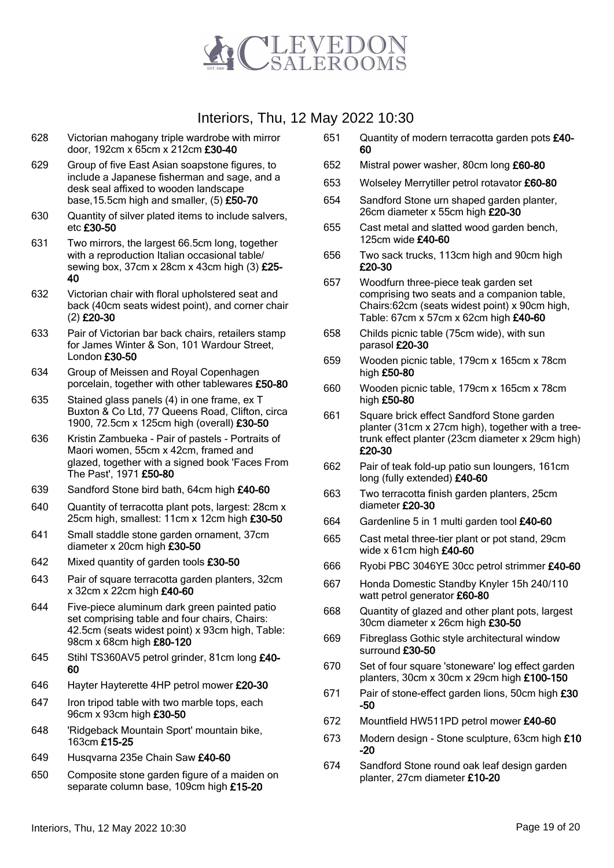

- 628 Victorian mahogany triple wardrobe with mirror door, 192cm x 65cm x 212cm £30-40
- 629 Group of five East Asian soapstone figures, to include a Japanese fisherman and sage, and a desk seal affixed to wooden landscape base,15.5cm high and smaller, (5) £50-70
- 630 Quantity of silver plated items to include salvers, etc £30-50
- 631 Two mirrors, the largest 66.5cm long, together with a reproduction Italian occasional table/ sewing box, 37cm x 28cm x 43cm high (3) £25- 40
- 632 Victorian chair with floral upholstered seat and back (40cm seats widest point), and corner chair (2) £20-30
- 633 Pair of Victorian bar back chairs, retailers stamp for James Winter & Son, 101 Wardour Street, London £30-50
- 634 Group of Meissen and Royal Copenhagen porcelain, together with other tablewares £50-80
- 635 Stained glass panels (4) in one frame, ex T Buxton & Co Ltd, 77 Queens Road, Clifton, circa 1900, 72.5cm x 125cm high (overall) £30-50
- 636 Kristin Zambueka Pair of pastels Portraits of Maori women, 55cm x 42cm, framed and glazed, together with a signed book 'Faces From The Past', 1971 £50-80
- 639 Sandford Stone bird bath, 64cm high £40-60
- 640 Quantity of terracotta plant pots, largest: 28cm x 25cm high, smallest: 11cm x 12cm high £30-50
- 641 Small staddle stone garden ornament, 37cm diameter x 20cm high £30-50
- 642 Mixed quantity of garden tools £30-50
- 643 Pair of square terracotta garden planters, 32cm x 32cm x 22cm high £40-60
- 644 Five-piece aluminum dark green painted patio set comprising table and four chairs, Chairs: 42.5cm (seats widest point) x 93cm high, Table: 98cm x 68cm high £80-120
- 645 Stihl TS360AV5 petrol grinder, 81cm long £40- 60
- 646 Hayter Hayterette 4HP petrol mower £20-30
- 647 Iron tripod table with two marble tops, each 96cm x 93cm high £30-50
- 648 'Ridgeback Mountain Sport' mountain bike, 163cm £15-25
- 649 Husqvarna 235e Chain Saw £40-60
- 650 Composite stone garden figure of a maiden on separate column base, 109cm high £15-20
- 651 Quantity of modern terracotta garden pots £40- 60
- 652 Mistral power washer, 80cm long £60-80
- 653 Wolseley Merrytiller petrol rotavator £60-80
- 654 Sandford Stone urn shaped garden planter, 26cm diameter x 55cm high £20-30
- 655 Cast metal and slatted wood garden bench, 125cm wide £40-60
- 656 Two sack trucks, 113cm high and 90cm high £20-30
- 657 Woodfurn three-piece teak garden set comprising two seats and a companion table, Chairs:62cm (seats widest point) x 90cm high, Table: 67cm x 57cm x 62cm high £40-60
- 658 Childs picnic table (75cm wide), with sun parasol £20-30
- 659 Wooden picnic table, 179cm x 165cm x 78cm high £50-80
- 660 Wooden picnic table, 179cm x 165cm x 78cm high £50-80
- 661 Square brick effect Sandford Stone garden planter (31cm x 27cm high), together with a treetrunk effect planter (23cm diameter x 29cm high) £20-30
- 662 Pair of teak fold-up patio sun loungers, 161cm long (fully extended) £40-60
- 663 Two terracotta finish garden planters, 25cm diameter £20-30
- 664 Gardenline 5 in 1 multi garden tool £40-60
- 665 Cast metal three-tier plant or pot stand, 29cm wide x 61cm high £40-60
- 666 Ryobi PBC 3046YE 30cc petrol strimmer £40-60
- 667 Honda Domestic Standby Knyler 15h 240/110 watt petrol generator £60-80
- 668 Quantity of glazed and other plant pots, largest 30cm diameter x 26cm high £30-50
- 669 Fibreglass Gothic style architectural window surround £30-50
- 670 Set of four square 'stoneware' log effect garden planters, 30cm x 30cm x 29cm high £100-150
- 671 Pair of stone-effect garden lions, 50cm high £30 -50
- 672 Mountfield HW511PD petrol mower £40-60
- 673 Modern design Stone sculpture, 63cm high £10 -20
- 674 Sandford Stone round oak leaf design garden planter, 27cm diameter £10-20